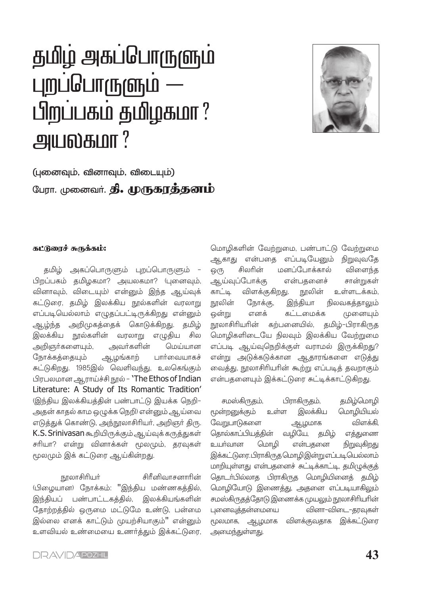# தமிழ் அகப்பொருளும் புறப்பொருளும் — பிறப்பகம் தமிழகமா? அயல்கமா?



(புனைவும், வினாவும், விடையும்) பேரா. முனைவர். **தி. முருகரத்தனம்** 

#### கட்டுரைச் சுருக்கம்:

தமிழ் அகப்பொருளும் புறப்பொருளும் -பிறப்பகம் தமிழகமா? அயலகமா? (புனைவும், வினாவும், விடையும்) என்னும் இந்த ஆய்வுக் கட்டுரை, தமிழ் இலக்கிய நூல்களின் வரலாறு எப்படியெல்லாம் எழுதப்பட்டிருக்கிறது என்னும் ஆழ்ந்த அறிமுகத்தைக் கொடுக்கிறது. தமிழ் இலக்கிய நூல்களின் வரலாறு எழுதிய சில அவர்களின் அறிஞர்களையும், மெய்யான நோக்கத்தையும் ஆழங்காற் பார்வையாகச் சுட்டுகிறது. 1985இல் வெளிவந்து, உலகெங்கும் பிரபலமான ஆராய்ச்சி நூல் - `The Ethos of Indian Literature: A Study of Its Romantic Tradition' (இந்திய இலக்கியத்தின் பண்பாட்டு இயக்க நெறி-அதன் காதல் காம ஒழுக்க நெறி) என்னும் ஆய்வை எடுத்துக் கொண்டு, அந்நூலாசிரியர், அறிஞர் திரு. K.S. Srinivasan கூறியிருக்கும் ஆய்வுக்கருத்துகள் சரியா? என்று வினாக்கள் மூலமும், தரவுகள் மூலமும் இக் கட்டுரை ஆய்கின்றது.

நூலாசிரியா் சிரீனிவாசனாரின் (பிழையான) நோக்கம்: "இந்திய மண்ணகத்தில், இந்தியப் பண்பாட்டகத்தில், இலக்கியங்களின் தோற்றத்தில் ஒருமை மட்டுமே உண்டு, பன்மை இல்லை எனக் காட்டும் முயற்சியாகும்" என்னும் உளவியல் உண்மையை உணர்த்தும் இக்கட்டுரை,

மொழிகளின் வேற்றுமை, பண்பாட்டு வேற்றுமை ஆகாது என்பதை எப்படியேனும் நிறுவுவதே மனப்போக்கால் சிலரின் விளைந்த ஒ(ந என்பதனைச் சான்றுகள் ஆய்வுப்போக்கு காட்டி விளக்குகிறது. நூலின் உள்ளடக்கம். நூலின் நோக்கு, இந்தியா நிலவகத்தாலும் எனக் கட்டமைக்க ஒன்று முனையும் நூலாசிரியரின் கற்பனையில், தமிழ்–பிராகிருத மொழிகளிடையே நிலவும் இலக்கிய வேற்றுமை எப்படி ஆய்வுநெறிக்குள் வராமல் இருக்கிறது? என்று அடுக்கடுக்கான ஆதாரங்களை எடுத்து வைத்து, நூலாசிரியரின் கூற்று எப்படித் தவறாகும் என்பதனையும் இக்கட்டுரை சுட்டிக்காட்டுகிறது.

தமிழ்மொழி சமஸ்கிருதம், பிராகிருதம், மூன்றனுக்கும் இலக்கிய மொழியியல் உள்ள வேறுபாடுகளை விளக்கி. ஆழமாக தொல்காப்பியத்தின் வழியே, தமிழ் எத்துணை உயா்வான மொழி என்பதனை நிறுவுகிறது இக்கட்டுரை.பிராகிருத மொழிஇன்று எப்படி யெல்லாம் மாறியுள்ளது என்பதனைச் சுட்டிக்காட்டி, தமிமுக்குத் தொடர்பில்லாத பிராகிருத மொழியினைத் தமிழ் மொழியோடு இணைத்து, அதனை எப்படியாகிலும் சமஸ்கிருதத்தோடு இணைக்க முயலும் நூலாசிரியரின் புனைவுத்தன்மையை வினா–விடை–தரவுகள் மூலமாக, ஆழமாக விளக்குவதாக இக்கட்டுரை அமைந்துள்ளது.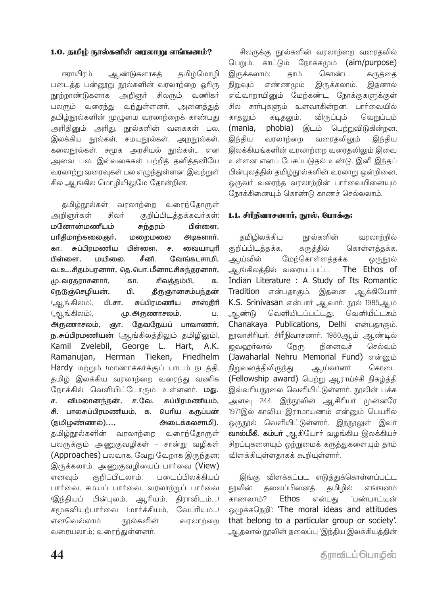#### 1.0. கமிம் நால்களின் வாலாறு எங்ஙனம்?

ளாயிாம் ஆண்டுகளாகக் தமிழ்மொழி படைத்த பன்றூறு நூல்களின் வரலாற்றை ஒரிரு நூற்றாண்டுகளாக அறிஞர் சிலரும் வணிகர் பலரும் வரைந்து வந்துள்ளனர். அனைத்துத் தமிழ்நூல்களின் முழுமை வரலாற்றைக் காண்பது அரிதினும் அரிது. நூல்களின் வகைகள் பல. இலக்கிய நூல்கள், சமயநூல்கள், அறநூல்கள், கலைநூல்கள், சமூக அரசியல் நூல்கள்... என அவை பல. இவ்வகைகள் பற்றிக் கனிக்கனியே வரலாற்று வரைவுகள் பல எழுந்துள்ளன. இவற்றுள் சில ஆங்கில மொழியிலுமே தோன்றின.

தமிழ்நூல்கள் வரலாற்றை வரைந்தோருள் அறிஞர்கள் சிலர் குறிப்பிடத்தக்கவர்கள்: மனோன்மணீயம் சுந்தரம் பிள்ளை. பரிதிமாற்கலைஞர், அடிகளார், மறைமலை சுப்பிாமணிய பிள்ளை. வையாபாி கா. ச. பிள்ளை ப்பரிவை சீனி வேங்கடசாமி. வ. உ. சிதம்பரனார், தெ. பொ. மீனாட்சிசுந்தரனார், மு. வரதராசனார், சிவத்தம்பி, கா. க. நெடுஞ்செழியன், பி. தீருஞானசம்பந்தன் (ஆங்கிலம்), சுப்பிரமணிய பி.சா. சாஸ்திரி (ஆங்கிலம்), மு. அருணாசலம், Ц. அருணாசலம், ஞா. தேவநேயப் பாவாணர், ந.சுப்பிரமணியன் (ஆங்கிலத்திலும் தமிழிலும்), Kamil Zvelebil, George L. Hart, A.K. Ramanujan. Herman Tieken, Friedhelm Hardy மற்றும் (மாணாக்கர்க்குப் பாடம் நடத்தி, தமிழ் இலக்கிய வரலாற்றை வரைந்து வணிக நோக்கில் வெளியிட்டோரும் உள்ளனர். மது. விமலானந்தன், ச.வே. சுப்பிரமணியம், ச. சி. பாலசுப்பிரமணியம், க. பெரிய கருப்பன் (தமிழண்ணல்)..., அடைக்கலசாமி). தமிழ்நூல்களின் வரலாற்றை வரைந்தோருள் பலருக்கும் அணுகுவழிகள் - சான்று வழிகள் (Approaches) பலவாக, வேறு வேறாக இருந்தன; இருக்கலாம். அணுகுவழியைப் பார்வை (View) குறிப்பிடலாம். படைப்பிலக்கியப் எனவும் பார்வை, சமயப் பார்வை, வரலாற்றுப் பார்வை (இந்தியப் பின்புலம், ஆரியம், திராவிடம்....) சமூகவியற்பார்வை (மார்க்சியம், வேபரியம்...) எனவெல்லாம் நூல்களின் வரலாற்றை வரையலாம்; வரைந்துள்ளனர்.

சிலருக்கு நூல்களின் வரலாற்றை வரைதலில் பெறும், காட்டும் நோக்கமும் (aim/purpose) இருக்கலாம்; கொண்ட காம் கருக்கை நிறுவம் என்னமும் இருக்கலாம். இகனால் எவ்வாறாயினும் மேற்கண்ட நோக்குகளுக்குள் சில சார்புகளும் உளவாகின்றன. பார்வையில் காகலம் கடிகலும். விருப்பம் வெறுப்பம் (mania, phobia) இடம் பெற்றுவிடுகின்றன. வரைதலிலும் இந்திய வரலாற்றை இந்திய இலக்கியங்களின் வாலாற்றை வரைகலிலும் இவை உள்ளன எனப் பேசப்படுதல் உண்டு. இனி இந்தப் பின்புலத்தில் தமிழ்நூல்களின் வரலாறு ஒன்றினை, ஒருவா் வரைந்த வரலாற்றின் பாா்வையினையும் நோக்கினையும் கொண்டு காணச் செல்லலாம்.

#### 1.1. சிரீநிவாசனார், நூல், போக்கு:

தமிழிலக்கிய நூல்களின் வரலாற்றில் கொள்ளத்தக்க, குறிப்பிடத்தக்க, கருத்தில் மேற்கொள்ளத்தக்க ஆய்வில் ஒருநூல் ஆங்கிலத்தில் வரையப்பட்ட The Ethos of Indian Literature : A Study of Its Romantic Tradition என்பதாகும். இதனை ஆக்கியோர் K.S. Srinivasan என்பார் ஆவார். நூல் 1985ஆம் வெளியிடப்பட்டது. வெளியீட்டகம் ஆண்டு Chanakaya Publications, Delhi என்பதாகும். நூலாசிரியா், சிரீநிவாசனாா். 1980ஆம் ஆண்டில் ஜவஹர்லால் நேரு நினைவுச் செல்வம் (Jawaharlal Nehru Memorial Fund) என்னும் நிறுவனத்திலிருந்து ஆய்வாளர் கொடை (Fellowship award) பெற்று ஆராய்ச்சி நிகழ்த்தி இவ்வரியநூலை வெளியிட்டுள்ளார். நூலின் பக்க அளவு 244. இந்நூலின் ஆசிரியர் முன்னரே 1971இல் காவிய இராமாயணம் என்னும் பெயரில் ஒருநூல் வெளியிட்டுள்ளார். <u>இந்நூலு</u>ள் இவர் வால்மீகி, கம்பர் ஆகியோர் வழங்கிய இலக்கியச் சிறப்புகளையும் ஒற்றுமைக் கருத்துகளையும் தாம் விளக்கியுள்ளதாகக் கூறியுள்ளார்.

இங்கு விளக்கப்பட எடுத்துக்கொள்ளப்பட்ட கலைப்பினைக் கமிமில் நூலின் எங்ஙனம் காணலாம்? **Ethos** என்பது <u>்பண்பாட்டின்</u> ஒழுக்கநெறி: 'The moral ideas and attitudes that belong to a particular group or society'. ஆதலால் நூலின் தலைப்பு 'இந்திய இலக்கியத்தின்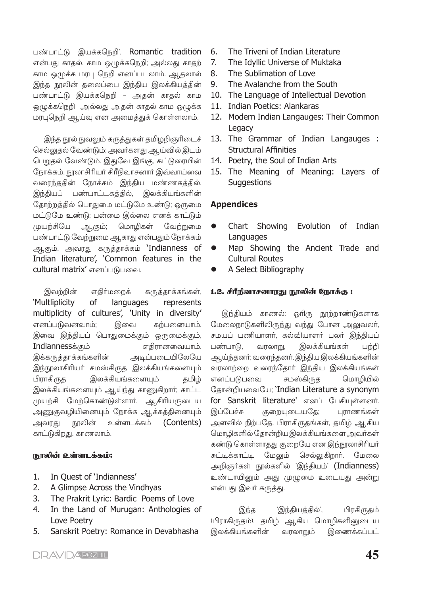பண்பாட்டு இயக்கநெறி'. Romantic tradition என்பது காதல், காம ஒழுக்கநெறி; அல்லது காதற் காம ஒழுக்க மரபு நெறி எனப்படலாம். ஆதலால் இந்த நூலின் தலைப்பை இந்திய இலக்கியத்தின் பண்பாட்டு இயக்கநெறி – அதன் காதல் காம ஒழுக்கநெறி அல்லது அதன் காதல் காம ஒழுக்க மரபுநெறி ஆய்வு என அமைத்துக் கொள்ளலாம்.

இந்த நூல் நுவலும் கருத்துகள் தமிழறிஞரிடைச் செல்லுதல் வேண்டும்; அவர்களது ஆய்வில் இடம் பெறுதல் வேண்டும். இதுவே இங்கு, கட்டுரையின் நோக்கம். நூலாசிரியா் சிரீநிவாசனாா் இவ்வாய்வை வரைந்ததின் நோக்கம் இந்திய மண்ணகத்தில், இந்தியப் பண்பாட்டகத்தில், இலக்கியங்களின் தோற்றத்தில் பொதுமை மட்டுமே உண்டு; ஒருமை மட்டுமே உண்டு; பன்மை இல்லை எனக் காட்டும் வேற்றுமை முயற்சியே ஆகும்: மொமிகள் பண்பாட்டு வேற்றுமை ஆகாது என்பதும் நோக்கம் ஆகும். அவரது கருத்தாக்கம் **`Indianness** of Indian literature', 'Common features in the cultural matrix' எனப்படுபவை.

இவற்றின் எகிர்மறைக் கருத்தாக்கங்கள், 'Multliplicity **of** languages represents multiplicity of cultures', 'Unity in diversity' எனப்படுவனவாம்: இவை கற்பனையாம். இவை இந்தியப் பொதுமைக்கும் ஒருமைக்கும், Indiannessக்கும் எகிாானவையாம். இக்கருத்தாக்கங்களின் <u>அடிப்படையிலேயே</u> இந்நூலாசிரியா் சமஸ்கிருத இலக்கியங்களையும் பிராகிருத இலக்கியங்களையும் தமிழ் இலக்கியங்களையும் ஆய்ந்து காணுகிறார்; காட்ட முயற்சி மேற்கொண்டுள்ளார். ஆசிரியருடைய அணுகுவழியினையும் நோக்க ஆக்கத்தினையும் நூலின் உள்ளடக்கம் (Contents) அவரது காட்டுகிறது. காணலாம்.

#### நாலின் உள்ளடக்கம்:

- $1.$ In Quest of 'Indianness'
- $2<sup>1</sup>$ A Glimpse Across the Vindhyas
- The Prakrit Lyric: Bardic Poems of Love  $3.$
- 4. In the Land of Murugan: Anthologies of Love Poetry
- 5. Sanskrit Poetry: Romance in Devabhasha
- The Triveni of Indian Literature 6.
- The Idyllic Universe of Muktaka  $7.$
- The Sublimation of Love 8.
- The Avalanche from the South  $\mathsf{q}$
- 10. The Language of Intellectual Devotion
- 11. Indian Poetics: Alankaras
- 12. Modern Indian Langauges: Their Common Legacy
- 13. The Grammar of Indian Langauges : **Structural Affinities**
- 14. Poetry, the Soul of Indian Arts
- 15. The Meaning of Meaning: Layers of **Suggestions**

# **Appendices**

- Chart Showing Evolution of Indian Languages
- Map Showing the Ancient Trade and Cultural Routes
- A Select Bibliography

#### 1.2. சிரீநிவாசனாரது நூலின் நோக்கு :

இந்தியம் காணல்: ஓரிரு நூற்றாண்டுகளாக மேலைநாடுகளிலிருந்து வந்து போன அலுவலர், சமயப் பணியாளர், கல்வியாளர் பலர் இந்தியப் பண்பாடு. வரலாறு, இலக்கியங்கள் பற்றி ஆய்ந்தனர்; வரைந்தனர். இந்திய இலக்கியங்களின் வரலாற்றை வரைந்தோர் இந்திய இலக்கியங்கள் எனப்படுபவை சமஸ்கிருத மொழியில் கோன்றியவையே; 'Indian Literature a synonym for Sanskrit literature' எனப் பேசியுள்ளனர். இப்பேச்சு குறையுடையதே; புராணங்கள் அளவில் நிற்பதே. பிராகிருதங்கள், தமிழ் ஆகிய மொழிகளில் தோன்றிய இலக்கியங்களை அவர்கள் கண்டு கொள்ளாதது குறையே என இந்நூலாசிரியர் சுட்டிக்காட்டி மேலும் செல்லுகிறார். மேலை அறிஞர்கள் நூல்களில் 'இந்தியம்' (Indianness) உண்டாயினும் அது முழுமை உடையது அன்று என்பது இவர் கருத்து.

பிரகிருதம் 'இந்தியத்தில்', இந்த (பிராகிருதம்), தமிழ் ஆகிய மொழிகளினுடைய இலக்கியங்களின் வரலாறும் இணைக்கப்பட்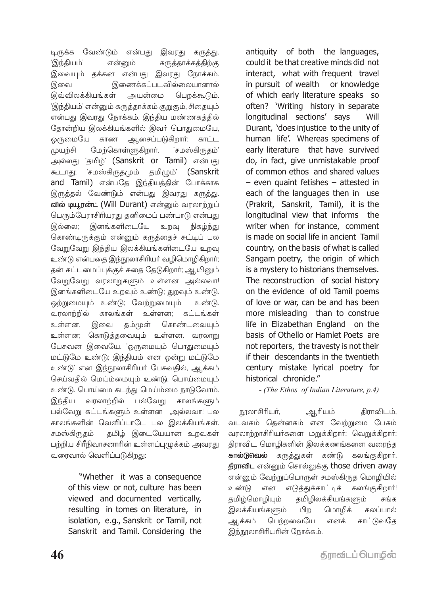டிருக்க வேண்டும் என்பது இவரது கருத்து. 'இந்தியம்' என்னும் கருத்தாக்கத்திற்கு இவையும் தக்கன என்பது இவரது நோக்கம். இணைக்கப்படவில்லையானால் இவை பெறக்கூடும். இவ்விலக்கியங்கள் அயன்மை 'இந்தியம்' என்னும் கருத்தாக்கம் குறுகும், சிதையும் என்பது இவரது நோக்கம். இந்திய மண்ணகத்தில் தோன்றிய இலக்கியங்களில் இவர் பொதுமையே, ஒருமையே ஆசைப்படுகிறாா்; காண காட்ட ிக்ள்யவ மேற்கொள்ளுகிறார். 'சமஸ்கிருகம்' அல்லது 'தமிழ்' (Sanskrit or Tamil) என்பது 'சமஸ்கிருதமும் தமிழும்' கூடாது; (Sanskrit and Tamil) என்பதே இந்தியத்தின் போக்காக இருத்தல் வேண்டும் என்பது இவரது கருத்து. வில் டியூரன்ட் (Will Durant) என்னும் வரலாற்றுப் பெரும்பேராசிரியரது தனிமைப் பண்பாடு என்பது இனங்களிடையே இல்லை: உறவு நிகம்ந்து கொண்டிருக்கும் என்னும் கருத்தைச் சுட்டிப் பல வேறுவேறு இந்திய இலக்கியங்களிடையே உறவு உண்டு என்பதை இந்நூலாசிரியர் வழிமொழிகிறார்; தன் கட்டமைப்புக்குச் சுதை தேடுகிறார்; ஆயினும் வேறுவேறு வரலாறுகளும் உள்ளன அல்லவா! இனங்களிடையே உறவும் உண்டு; துறவும் உண்டு. ஒற்றுமையும் உண்டு; வேற்றுமையும் உண்டு. வரலாற்றில் காலங்கள் உள்ளன: கட்டங்கள் உள்ளன. இவை தம்முள் கொண்டவையும் உள்ளன; கொடுத்தவையும் உள்ளன. வரலாறு பேசுவன இவையே. 'ஒருமையும் பொதுமையும் மட்டுமே உண்டு; இந்தியம் என ஒன்று மட்டுமே உண்டு' என இந்நூலாசிரியர் பேசுவதில், ஆக்கம் செய்வதில் மெய்ம்மையும் உண்டு. பொய்மையும் உண்டு. பொய்மை கடந்து மெய்ம்மை நாடுவோம். பல்வேறு இந்திய வரலாற்றில் காலங்களும் பல்வேறு கட்டங்களும் உள்ளன அல்லவா! பல காலங்களின் வெளிப்பாடே பல இலக்கியங்கள். தமிழ் இடையேயான உறவுகள் சமஸ்கிருதம் பற்றிய சிரீநிவாசனாரின் உள்ளப்புழுக்கம் அவரது வரைவால் வெளிப்படுகிறது:

"Whether it was a consequence of this view or not, culture has been viewed and documented vertically, resulting in tomes on literature, in isolation, e.g., Sanskrit or Tamil, not Sanskrit and Tamil. Considering the

antiquity of both the languages, could it be that creative minds did not interact, what with frequent travel in pursuit of wealth or knowledge of which early literature speaks so often? 'Writing history in separate longitudinal sections' says Will Durant, 'does injustice to the unity of human life'. Whereas specimens of early literature that have survived do, in fact, give unmistakable proof of common ethos and shared values - even quaint fetishes - attested in each of the languages then in use (Prakrit, Sanskrit, Tamil), it is the longitudinal view that informs the writer when for instance, comment is made on social life in ancient Tamil country, on the basis of what is called Sangam poetry, the origin of which is a mystery to historians themselves. The reconstruction of social history on the evidence of old Tamil poems of love or war, can be and has been more misleading than to construe life in Elizabethan England on the basis of Othello or Hamlet Poets are not reporters, the travesty is not their if their descendants in the twentieth century mistake lyrical poetry for historical chronicle."

- (The Ethos of Indian Literature, p.4)

ஆரியம் நூலாசிரியர், திராவிடம், வடவகம் தென்னகம் என வேற்றுமை பேசும் வரலாற்றாசிரியர்களை மறுக்கிறார்; வெறுக்கிறார்; திராவிட மொழிகளின் இலக்கணங்களை வரைந்த கால்டுவெல் கருத்துகள் கண்டு கலங்குகிறார். திராவிட என்னும் சொல்லுக்கு those driven away என்னும் வேற்றுப்பொருள் சமஸ்கிருத மொழியில் உண்டு என எடுத்துக்காட்டிக் கலங்குகிறாா்! தமிழிலக்கியங்களும் தமிழ்மொழியும் சங்க இலக்கியங்களும் பிற மொழிக் கலப்பால் ஆக்கம் பெற்றவையே எனக் காட்டுவதே இந்நூலாசிரியரின் நோக்கம்.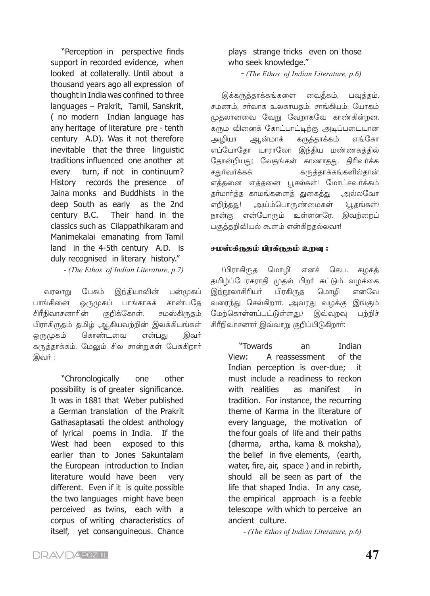"Perception in perspective finds support in recorded evidence, when looked at collaterally. Until about a thousand vears ago all expression of thought in India was confined to three languages - Prakrit, Tamil, Sanskrit, (no modern Indian language has any heritage of literature pre - tenth century A.D). Was it not therefore inevitable that the three linguistic traditions influenced one another at turn, if not in continuum? every records the presence History of Jaina monks and Buddhists in the deep South as early as the 2nd Their hand in the century B.C. classics such as Cilappathikaram and Manimekalai emanating from Tamil land in the 4-5th century A.D. is duly recognised in literary history."

- (The Ethos of Indian Literature, p.7)

பேசும் இந்தியாவின் பன்முகப் வரலாறு காண்பதே பாங்கினை ஒருமுகப் பாங்காகக் சிரீநிவாசனாரின் குறிக்கோள். சமஸ்கிருதம் பிராகிருதம் தமிழ் ஆகியவற்றின் இலக்கியங்கள் ஒருமுகம் கொண்டவை என்பது இவர் கருத்தாக்கம். மேலும் சில சான்றுகள் பேசுகிறார் இவர் :

> "Chronologically one other possibility is of greater significance. It was in 1881 that Weber published a German translation of the Prakrit Gathasaptasati the oldest anthology of lyrical poems in India. If the West had been exposed to this earlier than to Jones Sakuntalam the European introduction to Indian literature would have been very different. Even if it is quite possible the two languages might have been perceived as twins, each with a corpus of writing characteristics of itself, yet consanguineous. Chance

# plays strange tricks even on those who seek knowledge."

 $-$  (The Ethos of Indian Literature, p.6)

இக்கருத்தாக்கங்களை வைதீகம், பவுத்தம், சமணம், சர்வாக உலகாயதம், சாங்கியம், யோகம் முகலானவை வேறு வேறாகவே காண்கின்றன. கரும வினைக் கோட்பாட்டிற்கு அடிப்படையான அழியா ஆன்மாக் கருத்தாக்கம் எங்கோ எப்போகோ யாராலோ இந்கிய மண்ணகக்கில் தோன்றியது; வேதங்கள் காணாதது. திரிவர்க்க சதுர்வர்க்கக் கருத்தாக்கங்களில்தான் எத்தனை எத்தனை பூசல்கள்! மோட்சவர்க்கம் தா்மாா்த்த காமங்களைத் துகைத்து அல்லவோ எறிந்தது! அய்ம்பொருண்மைகள் (பூதங்கள்) நான்கு என்போரும் உள்ளனரே. இவற்றைப் பகுத்தறிவியல் கூளம் என்கிறதல்லவா!

# சமஸ்கீருதம் பிரகீருதம் உறவு :

('பிராகிருத மொழி' எனச் செ.ப. கழகத் தமிழ்ப்பேரகராதி முதல் பிறா் சுட்டும் வழக்கை இந்நூலாசிரியா் பிரகிருத மொமி எனவே வரைந்து செல்கிறாா். அவரது வழக்கு இங்கும் மேற்கொள்ளப்பட்டுள்ளது.) இவ்வுவ பற்றிச் சிரீநிவாசனார் இவ்வாறு குறிப்பிடுகிறார்:

> "Towards  $an$ Indian A reassessment of the View: Indian perception is over-due; it must include a readiness to reckon as manifest with realities in tradition. For instance, the recurring theme of Karma in the literature of every language, the motivation of the four goals of life and their paths (dharma, artha, kama & moksha), the belief in five elements, (earth, water, fire, air, space) and in rebirth, should all be seen as part of the life that shaped India. In any case, the empirical approach is a feeble telescope with which to perceive an ancient culture.

> > - (The Ethos of Indian Literature, p.6)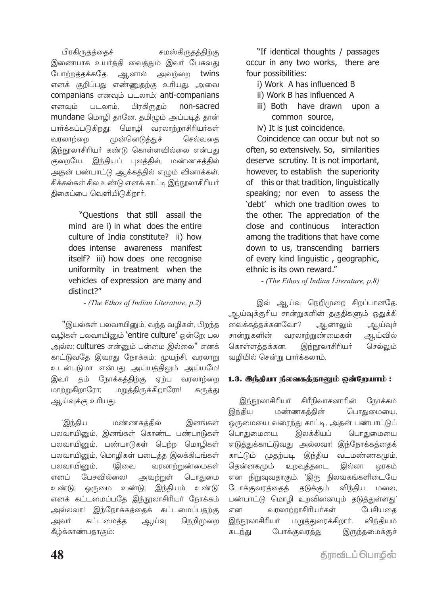பிரகிருதத்தைச் சமஸ்கிருதத்திற்கு இணையாக உயர்த்தி வைத்தும் இவர் பேசுவது போற்றத்தக்கதே. ஆனால் அவற்றை twins எனக் குறிப்பது எண்ணுதற்கு உரியது. அவை companians எனவும் படலாம்; anti-companians எனவும் படலாம். பிரகிருதம் non-sacred mundane மொழி தானே. தமிழும் அப்படித் தான் பார்க்கப்படுகிறது; மொழி வரலாற்றாசிரியர்கள் வரலாற்றை முன்னெடுத்துச் செல்வதை இந்நூலாசிரியர் கண்டு கொள்ளவில்லை என்பது குறையே. இந்தியப் புலத்தில், மண்ணகத்தில் அதன் பண்பாட்டு ஆக்கத்தில் எழும் வினாக்கள், சிக்கல்கள் சில உண்டு எனக் காட்டி இந்நூலாசிரியர் திகைப்பை வெளியிடுகிறார்.

> "Questions that still assail the mind are i) in what does the entire culture of India constitute? ii) how does intense awareness manifest itself? iii) how does one recognise uniformity in treatment when the vehicles of expression are many and distinct?"

> > $-$  (The Ethos of Indian Literature, p.2)

''இயல்கள் பலவாயினும், வந்த வழிகள், பிறந்த வழிகள் பலவாயினும் **`entire culture'** ஒன்றே; பல அல்ல; cultures என்னும் பன்மை இல்லை" எனக் காட்டுவதே இவரது நோக்கம்; முயற்சி. வரலாறு உடன்படுமா என்பது அய்யத்திலும் அய்யமே! இவர் தம் நோக்கத்திற்கு ஏற்ப வரலாற்றை மாற்றுகிறாரோ; மறுத்திருக்கிறாரோ! கருத்து ஆய்வுக்கு உரியது.

மண்ணகத்தில் 'இந்திய இனங்கள் பலவாயினும், இனங்கள் கொண்ட பண்பாடுகள் பலவாயினும், பண்பாடுகள் பெற்ற மொழிகள் பலவாயினும், மொழிகள் படைத்த இலக்கியங்கள் பலவாயினும், (இவை வரலாற்றுண்மைகள் எனப் பேசவில்லை) அவற்றுள் பொதுமை உண்டு; ஒருமை உண்டு; இந்தியம் உண்டு' எனக் கட்டமைப்பதே இந்நூலாசிரியர் நோக்கம் அல்லவா! இந்நோக்கத்தைக் கட்டமைப்பதற்கு கட்டமைக்க ஆய்வு நெறிமுறை அவர் கீழ்க்காண்பதாகும்:

"If identical thoughts / passages occur in any two works, there are four possibilities:

- i) Work A has influenced B
- ii) Work B has influenced A
- iii) Both have drawn upon a common source.
- iv) It is just coincidence.

Coincidence can occur but not so often, so extensively, So, similarities deserve scrutiny. It is not important, however, to establish the superiority of this or that tradition, linguistically speaking; nor even to assess the 'debt' which one tradition owes to the other. The appreciation of the close and continuous interaction among the traditions that have come down to us, transcending barriers of every kind linguistic, geographic, ethnic is its own reward."

- (The Ethos of Indian Literature, p.8)

இவ் ஆய்வு நெறிமுறை சிறப்பானதே. ஆய்வுக்குரிய சான்றுகளின் தகுதிகளும் ஒதுக்கி வைக்கத்தக்கனவோ? ஆனாலும் ஆய்வுச் சான்றுகளின் வரலாற்றுண்மைகள் ஆய்வில் கொள்ளத்தக்கன. இந்நூலாசிரியர் செல்லும் வமியில் சென்று பார்க்கலாம்.

# 1.3. இந்தியா நிலவகத்தாலும் ஒன்றேயாம் :

சிரீநிவாசனாரின் நோக்கம் இந்நூலாசிரியா் மண்ணகத்தின் பொதுமையை, இந்திய ஒருமையை வரைந்து காட்டி, அதன் பண்பாட்டுப் பொதுமையை, இலக்கியப் பொதுமையை எடுத்துக்காட்டுவது அல்லவா! இந்நோக்கத்தைக் வடமண்ணகமும், காட்டும் முதற்படி இந்திய தென்னகமும் உறவுத்தடை இல்லா ஒரகம் என நிறுவுவதாகும். 'இரு நிலவகங்களிடையே போக்குவரத்தைத் தடுக்கும் விந்திய மலை. பண்பாட்டு மொழி உறவினையும் தடுத்துள்ளது' வரலாற்றாசிரியர்கள் என பேசியதை இந்நூலாசிரியா் மறுத்துரைக்கிறார். விந்தியம் இருந்தமைக்குச் கடந்து போக்குவரத்து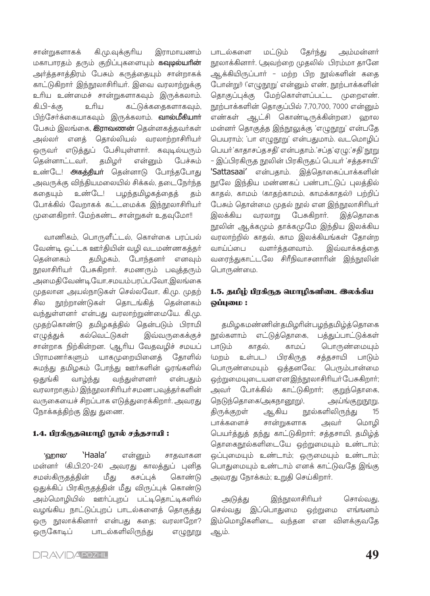கி.மு.வுக்குரிய இராமாயணம் சான்றுகளாகக் மகாபாரதம் தரும் குறிப்புகளையும் **கவுடில்யாின்** அர்த்தசாத்திரம் பேசும் கருத்தையும் சான்றாகக் காட்டுகிறார் இந்நூலாசிரியர். இவை வரலாற்றுக்கு உரிய உண்மைச் சான்றுகளாகவும் இருக்கலாம். கி.பி–க்கு உரிய கட்டுக்கதைகளாகவும், பிற்சேர்க்கையாகவும் இருக்கலாம். **வால்மீகியாா்** பேசும் இலங்கை, **இராவணன்** தென்னகத்தவர்கள் அல்லா் எனத் தொல்லியல் வரலாற்றாசிரியா் ஒருவர் எடுத்துப் பேசியுள்ளார். கவுடில்யரும் கென்னாட்டவர். தமிழர் என்னும் பேச்சும் உண்டே! அகத்தியா் தென்னாடு போந்தபோது அவருக்கு விந்தியமலையில் சிக்கல், தடைநோ்ந்த ககையும் உண்டே! பழந்தமிழகத்தைத் கம் போக்கில் வேறாகக் கட்டமைக்க இந்நூலாசிரியர் முனைகிறார். மேற்கண்ட சான்றுகள் உதவுமோ!!

வாணிகம், பொருளீட்டல், கொள்கை பரப்பல் வேண்டி ஒட்டக ஊர்தியின் வழி வடமண்ணகத்தர் தென்னகம் தமிழகம், போந்தனர் எனவும் நூலாசிரியர் பேசுகிறார். சமணரும் பவுத்தரும் அமைதிவேண்டியோ,சமயம்பரப்பவோ,இலங்கை முதலான அயல்நாடுகள் செல்லவோ, கி.மு. முதற் நூற்றாண்டுகள் தொடங்கித் தென்னகம் சில வந்துள்ளனர் என்பது வரலாற்றுண்மையே. கி.மு. முதற்கொண்டு தமிழகத்தில் தென்படும் பிராமி கல்வெட்டுகள் எழுத்துக் இவ்வருகைக்குச் சான்றாக நிற்கின்றன. (ஆரிய வேதவழிச் சமயப் பிராமணர்களும் யாகமுறையினைத் கோளில் சுமந்து தமிழகம் போந்து ஊர்களின் ஓரங்களில் ஒதுங்கி வாழ்ந்து வந்துள்ளனர் என்பதும் வரலாறாகும்.) இந்நூலாசிரியர் சமண பவுத்தர்களின் வருகையைச் சிறப்பாக எடுத்துரைக்கிறார். அவரது நோக்கத்திற்கு இது துணை.

#### 1.4. பிரகிருதமொழி நூல் சத்தசாயி:

என்னும் 'வாால' 'Haala' சாதவாகன மன்னர் (கி.பி.20-24) அவரது காலத்துப் புனித சமஸ்கிருதத்தின் மீது கசப்புக் கொண்டு ஒதுக்கிப் பிரகிருதத்தின் மீது விருப்புக் கொண்டு அம்மொழியில் ஊர்ப்புறப் பட்டிதொட்டிகளில் வழங்கிய நாட்டுப்புறப் பாடல்களைத் தொகுத்து ஒரு நூலாக்கினார் என்பது கதை; வரலாறோ? ஒருகோடிப் பாடல்களிலிருந்து எழுநூறு

பாடல்களை மட்டும் கேர்ந்து அம்மன்னர் நூலாக்கினார். (அவற்றை முதலில் பிரம்மா தானே ஆக்கியிருப்பார் – மற்ற பிற நூல்களின் கதை போன்று!) ('எமுநூறு' என்னும் எண், நூற்பாக்களின் தொகுப்புக்கு மேற்கொள்ளப்பட்ட முறைஎண். நூற்பாக்களின் தொகுப்பில் 7,70,700, 7000 என்னும் எண்கள் ஆட்சி கொண்டிருக்கின்றன.) வறால மன்னர் தொகுத்த இந்நூலுக்கு 'எழுநூறு' என்பதே பெயராம்; 'பா எழுநூறு' என்பதுமாம். வடமொழிப் பெயர்'காதாசப்தசதி' என்பதாம்.'சப்த'ஏமு;'சதி'நூறு - இப்பிரகிருத நூலின் பிரகிருதப் பெயர் 'சத்தசாயி' 'Sattasaai' என்பதாம். இத்தொகைப்பாக்களின் நூலே இந்திய மண்ணகப் பண்பாட்டுப் புலத்தில் காதல், காமம் (காதற்காமம், காமக்காதல்!) பற்றிப் பேசும் தொன்மை முதல் நூல் என இந்நூலாசிரியா் இலக்கிய வரலாறு பேசுகிறார். இத்தொகை நூலின் ஆக்கமும் தாக்கமுமே இந்திய இலக்கிய வரலாற்றில் காதல், காம இலக்கியங்கள் தோன்ற வாய்ப்பை வளர்த்தனவாம். இவ்வாக்கத்தை வரைந்துகாட்டலே சிரீநிவாசனாரின் இந்நூலின் பொருண்மை.

# 1.5. தமிழ் பிரகீருத மொழிகளிடை இலக்கிய ஒப்புமை :

தமிழகமண்ணின்தமிழரின்பழந்தமிழ்த்தொகை நூல்களாம் எட்டுத்தொகை, பத்துப்பாட்டுக்கள் பாடும் காதல், காமப் பொருண்மையும் (மறம் உள்பட) பிரகிருத சத்தசாயி பாடும் பொருண்மையும் ஒத்தனவே; பெரும்பான்மை ஒற்றுமையுடையன எனஇந்நூலாசிரியர் பேசுகிறார்; அவர் போக்கில் காட்டுகிறார்; குறுந்தொகை, நெடுந்தொகை(அகநானூறு), அய்ங்குறுநூறு, ஆகிய நூல்களிலிருந்து திருக்குறள்  $15$ பாக்களைச் சான்றுகளாக அவர் மொமி பெயர்த்துத் தந்து காட்டுகிறார்; சத்தசாயி, தமிழ்த் தொகைநூல்களிடையே ஒற்றுமையும் உண்டாம்; ஒப்புமையும் உண்டாம்; ஒருமையும் உண்டாம்; பொதுமையும் உண்டாம் எனக் காட்டுவதே இங்கு அவரது நோக்கம்; உறுதி செய்கிறார்.

அடுத்து இந்நூலாசிரியா் சொல்வது, இப்பொதுமை ஒற்றுமை எங்ஙனம் செல்வது இம்மொழிகளிடை வந்தன என விளக்குவதே ஆம்.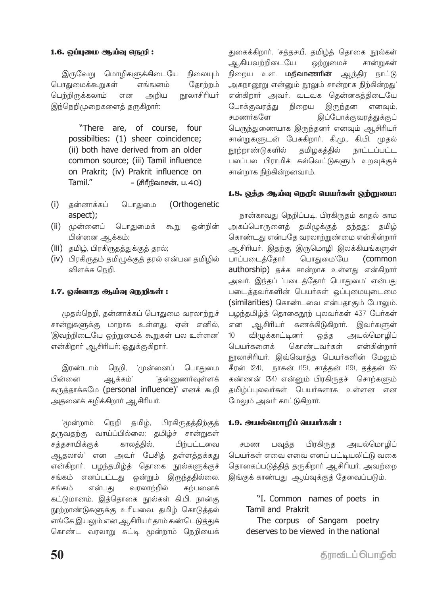#### 1.6. ஒப்புமை ஆய்வு நெறி :

இருவேறு மொழிகளுக்கிடையே நிலையும் பொதுமைக்கூறுகள் எங்ஙனம் கோற்றம் பெற்றிருக்கலாம் நூலாசிரியா் என அறிய இந்நெறிமுறைகளைத் தருகிறார்:

> "There are, of course, four possibilties: (1) sheer coincidence; (ii) both have derived from an older common source; (iii) Tamil influence on Prakrit; (iv) Prakrit influence on Tamil" - (சிரீநிவாசன், ப.40)

- (i) தன்னாக்கப் (Orthogenetic பொதுமை aspect);
- (ii) முன்னைப் பொதுமைக் கூறு ஒன்றின் பின்னை ஆக்கம்;
- (iii) தமிழ், பிரகிருதத்துக்குத் தரல்;
- (iv) பிரகிருதம் தமிழுக்குத் தரல் என்பன தமிழில் விளக்க நெறி.

#### 1.7. ஒவ்வாத ஆய்வு நெறிகள்:

முதல்நெறி, தன்னாக்கப் பொதுமை வரலாற்றுச் சான்றுகளுக்கு மாறாக உள்ளது. ஏன் எனில், 'இவற்றிடையே ஒற்றுமைக் கூறுகள் பல உள்ளன' என்கிறார் ஆசிரியர்; ஒதுக்குகிறார்.

இரண்டாம் 'முன்னைப் நெறி, பொதுமை 'தன்னுணர்வுள்ளக் பின்னை ஆக்கம்' கருத்தாக்கமே (personal influence)' எனக் கூறி அதனைக் கழிக்கிறார் ஆசிரியர்.

'மூன்றாம் நெறி தமிழ், பிரகிருதத்திற்குத் தருவதற்கு வாய்ப்பில்லை; தமிழ்ச் சான்றுகள் காலத்தில், பிற்பட்டவை சத்தசாயிக்குக் ஆதலால்' என அவர் பேசித் தள்ளத்தக்கது என்கிறாா். பழந்தமிழ்த் தொகை நூல்களுக்குச் சங்கம் எனப்பட்டது ஒன்றும் இருந்ததில்லை. வரலாற்றில் சங்கம் என்பது கற்பனைக் கட்டுமானம். இத்தொகை நூல்கள் கி.பி. நான்கு நூற்றாண்டுகளுக்கு உரியவை. தமிழ் கொடுத்தல் எங்கே இயலும் என ஆசிரியர் தாம் கண்டெடுத்துக் கொண்ட வரலாறு சுட்டி மூன்றாம் நெறியைக்

துகைக்கிறார். 'சத்தசயீ, தமிழ்த் தொகை நூல்கள் ஆகியவற்றிடையே ஒற்றுமைச் சான்றுகள் நிறைய உள. **மதிவாணாின்** ஆந்திர நாட்டு அகநானூறு என்னும் நூலும் சான்றாக நிற்கின்றது' என்கிறார் அவர். வடவக தென்னகத்திடையே போக்குவரத்து நிறைய இருந்தன எனவும், சுமணர்களே இப்போக்குவரத்துக்குப் பெருந்துணையாக இருந்தனர் எனவும் ஆசிரியர் சான்றுகளுடன் பேசுகிறார். கி.மு., கி.பி. முதல் நாற்றாண்டுகளில் தமிழகத்தில் **நாட்டப்பட்ட** பலப்பல பிராமிக் கல்வெட்டுகளும் உறவுக்குச் சான்றாக நிற்கின்றனவாம்.

#### 1.8. ஒத்த ஆய்வு நெறி: பெயர்கள் ஒற்றுமை:

நான்காவது நெறிப்படி, பிரகிருதம் காதல் காம அகப்பொருளைத் தமிழுக்குத் தந்தது; தமிழ் கொண்டது என்பதே வரலாற்றுண்மை என்கின்றார் ஆசிரியா். இதற்கு இருமொழி இலக்கியங்களுள் பொதுமை'யே (common பாப்படைத்தோர் authorship) தக்க சான்றாக உள்ளது என்கிறார் அவர். இந்தப் 'படைத்தோர் பொதுமை' என்பது படைத்தவர்களின் பெயர்கள் ஒப்புமையுடைமை (similarities) கொண்டவை என்பதாகும் போலும். பழந்தமிழ்த் தொகைநூற் புலவர்கள் 437 பேர்கள் ஆசிரியா் கணக்கிடுகிறாா். இவா்களுள் என  $10$ விழுக்காட்டினர் ஒத்த அயல்மொழிப் பெயர்களைக் கொண்டவர்கள் என்கின்றார் நூலாசிரியர். இவ்வொக்க பெயர்களின் மேலும் கீரன் (24), நாகன் (15), சாத்தன் (19), தத்தன் (6) கண்ணன் (34) என்னும் பிரகிருதச் சொற்களும் தமிம்ப்புலவா்கள் பெயா்களாக உள்ளன என மேலும் அவர் காட்டுகிறார்.

#### 1.9. அயல்மொழிப் பெயர்கள்:

பிரகிருத அயல்மொழிப் பவுத்த சமண பெயர்கள் எவை எவை எனப் பட்டியலிட்டு வகை தொகைப்படுத்தித் தருகிறார் ஆசிரியர். அவற்றை இங்குக் காண்பது ஆய்வுக்குத் தேவைப்படும்.

"I. Common names of poets in Tamil and Prakrit

The corpus of Sangam poetry deserves to be viewed in the national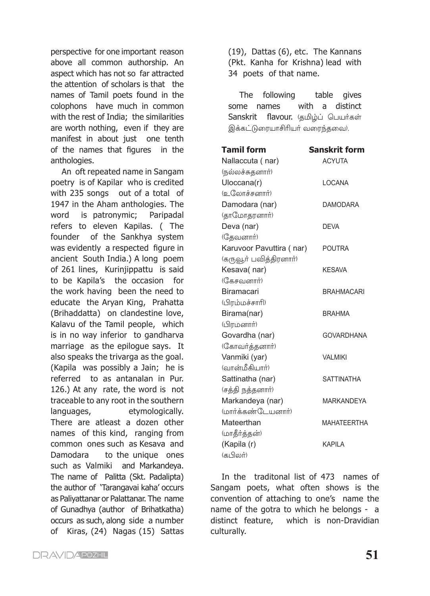perspective for one important reason above all common authorship. An aspect which has not so far attracted the attention of scholars is that the names of Tamil poets found in the colophons have much in common with the rest of India; the similarities are worth nothing, even if they are manifest in about just one tenth of the names that figures in the anthologies.

An oft repeated name in Sangam poetry is of Kapilar who is credited with 235 songs out of a total of 1947 in the Aham anthologies. The word is patronymic; Paripadal refers to eleven Kapilas. ( The founder of the Sankhya system was evidently a respected figure in ancient South India.) A long poem of 261 lines, Kurinjippattu is said to be Kapila's the occasion for the work having been the need to educate the Aryan King, Prahatta (Brihaddatta) on clandestine love, Kalavu of the Tamil people, which is in no way inferior to gandharva marriage as the epilogue says. It also speaks the trivarga as the goal. (Kapila was possibly a Jain; he is referred to as antanalan in Pur. 126.) At any rate, the word is not traceable to any root in the southern languages, etymologically. There are atleast a dozen other names of this kind, ranging from common ones such as Kesava and Damodara to the unique ones such as Valmiki and Markandeya. The name of Palitta (Skt. Padalipta) the author of 'Tarangavai kaha' occurs as Paliyattanar or Palattanar. The name of Gunadhya (author of Brihatkatha) occurs as such, along side a number of Kiras, (24) Nagas (15) Sattas (19), Dattas (6), etc. The Kannans (Pkt. Kanha for Krishna) lead with 34 poets of that name.

The following table gives some names with a distinct Sanskrit flavour. குமிம்ப் பெயர்கள் இக்கட்டுரையாசிரியர் வரைந்தவை).

| <b>Tamil form</b>        | <b>Sanskrit form</b> |
|--------------------------|----------------------|
| Nallaccuta (nar)         | <b>ACYUTA</b>        |
| (நல்லச்சுதனார்)          |                      |
| Uloccana(r)              | LOCANA               |
| (உலோச்சனார்)             |                      |
| Damodara (nar)           | <b>DAMODARA</b>      |
| (தாமோதரனார்)             |                      |
| Deva (nar)               | DEVA                 |
| (தேவனார்)                |                      |
| Karuvoor Pavuttira (nar) | POUTRA               |
| (கருவூா் பவித்திரனாா்)   |                      |
| Kesava(nar)              | <b>KESAVA</b>        |
| (கேசவனார்)               |                      |
| Biramacari               | <b>BRAHMACARI</b>    |
| (பிரம்மச்சாரி)           |                      |
| Birama(nar)              | <b>BRAHMA</b>        |
| (பிரமனார்)               |                      |
| Govardha (nar)           | <b>GOVARDHANA</b>    |
| (கோவர்த்தனார்)           |                      |
| Vanmiki (yar)            | <b>VALMIKI</b>       |
| (வான்மீகியார்)           |                      |
| Sattinatha (nar)         | <b>SATTINATHA</b>    |
| (சத்தி நத்தனாா்)         |                      |
| Markandeya (nar)         | MARKANDEYA           |
| (மார்க்கண்டேயனார்)       |                      |
| Mateerthan               | <b>MAHATEERTHA</b>   |
| (மாதீர்த்தன்)            |                      |
| (Kapila (r)              | KAPILA               |
| (கபிலர்)                 |                      |

In the traditonal list of 473 names of Sangam poets, what often shows is the convention of attaching to one's name the name of the gotra to which he belongs - a distinct feature, which is non-Dravidian culturally.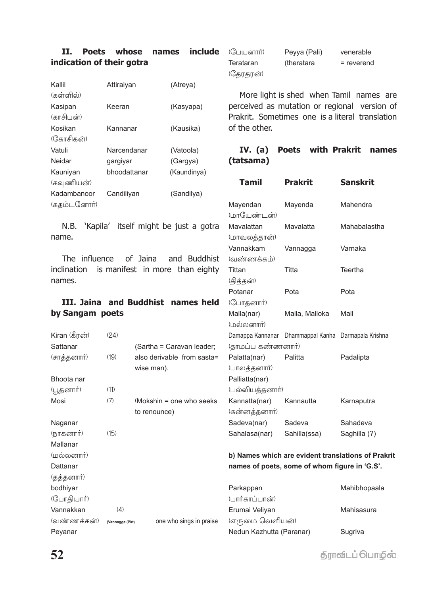# **II. Poets whose names include indication of their gotra**

| Kallil      | Attiraiyan   | (Atreya)    |
|-------------|--------------|-------------|
| (கள்ளில்)   |              |             |
| Kasipan     | Keeran       | (Kasyapa)   |
| (காசிபன்)   |              |             |
| Kosikan     | Kannanar     | (Kausika)   |
| (கோசிகன்)   |              |             |
| Vatuli      | Narcendanar  | (Vatoola)   |
| Neidar      | gargiyar     | (Gargya)    |
| Kauniyan    | bhoodattanar | (Kaundinya) |
| (கவுணியன்)  |              |             |
| Kadambanoor | Candiliyan   | (Sandilya)  |
| (கதம்டனோர்) |              |             |

N.B. 'Kapila' itself might be just a g name.

The influence of Jaina and Budd inclination is manifest in more than eight names.

# **III. Jaina and Buddhist names h by Sangam poets**

|               |                 |                            | (மலலனாா)                 |                                                     |                                                    |
|---------------|-----------------|----------------------------|--------------------------|-----------------------------------------------------|----------------------------------------------------|
| Kiran (கீரன்) | (24)            |                            |                          | Damappa Kannanar Dhammappal Kanha Darmapala Krishna |                                                    |
| Sattanar      |                 | (Sartha = Caravan leader;  | (தாமப்ப கண்ணனார்)        |                                                     |                                                    |
| (சாத்தனார்)   | (19)            | also derivable from sasta= | Palatta(nar)             | Palitta                                             | Padalipta                                          |
|               |                 | wise man).                 | (பாலத்தனார்)             |                                                     |                                                    |
| Bhoota nar    |                 |                            | Palliatta(nar)           |                                                     |                                                    |
| (பூதனாா்)     | (11)            |                            | (பல்லியத்தனார்)          |                                                     |                                                    |
| Mosi          | (7)             | (Mokshin = one who seeks)  | Kannatta(nar)            | Kannautta                                           | Karnaputra                                         |
|               |                 | to renounce)               | (கன்னத்தனாா்)            |                                                     |                                                    |
| Naganar       |                 |                            | Sadeva(nar)              | Sadeva                                              | Sahadeva                                           |
| (நாகனார்)     | (15)            |                            | Sahalasa(nar)            | Sahilla(ssa)                                        | Saghilla (?)                                       |
| Mallanar      |                 |                            |                          |                                                     |                                                    |
| (மல்லனார்)    |                 |                            |                          |                                                     | b) Names which are evident translations of Prakrit |
| Dattanar      |                 |                            |                          | names of poets, some of whom figure in 'G.S'.       |                                                    |
| (தத்தனார்)    |                 |                            |                          |                                                     |                                                    |
| bodhiyar      |                 |                            | Parkappan                |                                                     | Mahibhopaala                                       |
| (போதியார்)    |                 |                            | (பார்காப்பான்)           |                                                     |                                                    |
| Vannakkan     | (4)             |                            | Erumai Veliyan           |                                                     | Mahisasura                                         |
| (வண்ணக்கன்)   | (Vannagga (Pkt) | one who sings in praise    | (எருமை வெளியன்)          |                                                     |                                                    |
| Peyanar       |                 |                            | Nedun Kazhutta (Paranar) |                                                     | Sugriva                                            |

Peyya (Pali) venerable Terataran (theratara = reverend (தேரதரன்)

More light is shed when Tamil names are perceived as mutation or regional version of Prakrit. Sometimes one is a literal translation of the other.

# **IV. (a) Poets with Prakrit names (tatsama)**

|                                                                                                    | Tamil                                                             | <b>Prakrit</b>         | <b>Sanskrit</b>          |
|----------------------------------------------------------------------------------------------------|-------------------------------------------------------------------|------------------------|--------------------------|
|                                                                                                    | Mayendan<br>(மாயேண்டன்)                                           | Mayenda                | Mahendra                 |
| otra                                                                                               | Mavalattan<br>(மாவலத்தான்)                                        | Mavalatta              | Mahabalastha             |
| lhist                                                                                              | Vannakkam<br>(வண்ணக்கம்)                                          | Vannagga               | Varnaka                  |
| ghty                                                                                               | Tittan<br>(தித்தன்)                                               | Titta                  | Teertha                  |
| ıeld                                                                                               | Potanar<br>(போதனார்)                                              | Pota                   | Pota                     |
|                                                                                                    | Malla(nar)<br>(100, 0.000)                                        | Malla, Malloka         | Mall                     |
| der:                                                                                               | Damappa Kannanar<br>(தாமப்ப கண்ணனார்)                             | Dhammappal Kanha       | Darmapala Krishna        |
| ısta=                                                                                              | Palatta(nar)<br>(பாலத்தனார்)<br>Palliatta(nar)<br>(பல்லியத்தனார்) | Palitta                | Padalipta                |
| eeks                                                                                               | Kannatta(nar)<br>(கன்னத்தனார்)                                    | Kannautta              | Karnaputra               |
|                                                                                                    | Sadeva(nar)<br>Sahalasa(nar)                                      | Sadeva<br>Sahilla(ssa) | Sahadeva<br>Saghilla (?) |
| b) Names which are evident translations of Prakri<br>names of poets, some of whom figure in 'G.S'. |                                                                   |                        |                          |

**த்ராவிடப் பொழில்**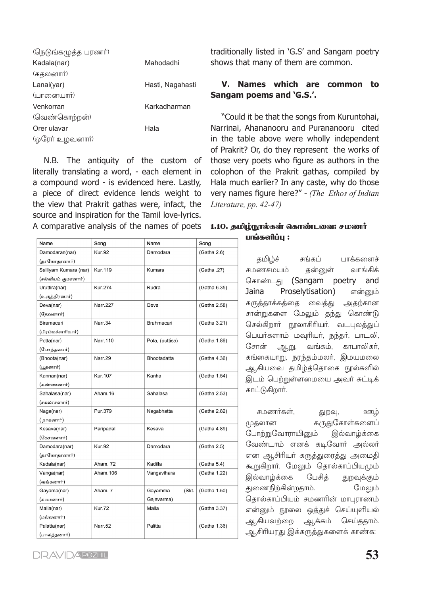| (நெடுங்கழுத்த பரணர்) |                  |
|----------------------|------------------|
| Kadala(nar)          | Mahodadhi        |
| (கதலனார்)            |                  |
| Lanai(yar)           | Hasti, Nagahasti |
| (யானையார்)           |                  |
| Venkorran            | Karkadharman     |
| (வெண்கொற்றன்)        |                  |
| Orer ulavar          | Hala             |
| (ஓரேர் உழவனார்)      |                  |

N.B. The antiquity of the custom of literally translating a word, - each element in a compound word - is evidenced here. Lastly, a piece of direct evidence lends weight to the view that Prakrit gathas were, infact, the source and inspiration for the Tamil love-lyrics. A comparative analysis of the names of poets **1.10. தமிழ்நூல்கள் கொண்டவை: சமணர்** 

| Name                  | Song           | Name             | Song         |  |
|-----------------------|----------------|------------------|--------------|--|
| Damodaran(nar)        | <b>Kur.92</b>  | Damodara         | (Gatha 2.6)  |  |
| (தாமோதரனார்)          |                |                  |              |  |
| Salliyam Kumara (nar) | Kur.119        | Kumara           | (Gatha .27)  |  |
| (சல்லியம் குமரனார்)   |                |                  |              |  |
| Uruttira(nar)         | Kur.274        | Rudra            | (Gatha 6.35) |  |
| (உருத்திரனார்)        |                |                  |              |  |
| Deva(nar)             | Narr.227       | Deva             | (Gatha 2.58) |  |
| (தேவனார்)             |                |                  |              |  |
| Biramacari            | Narr.34        | Brahmacari       | (Gatha 3.21) |  |
| (பிரம்மச்சாரியார்)    |                |                  |              |  |
| Potta(nar)            | Narr.110       | Pota, (puttisa)  | (Gatha 1.89) |  |
| (போத்தனார்)           |                |                  |              |  |
| (Bhoota(nar)          | Narr.29        | Bhootadatta      | (Gatha 4.36) |  |
| (பூதனார்)             |                |                  |              |  |
| Kannan(nar)           | <b>Kur.107</b> | Kanha            | (Gatha 1.54) |  |
| (கண்ணனார்)            |                |                  |              |  |
| Sahalasa(nar)         | Aham.16        | Sahalasa         | (Gatha 2.53) |  |
| (சகலாசனார்)           |                |                  |              |  |
| Naga(nar)             | Pur.379        | Nagabhatta       | (Gatha 2.82) |  |
| ( நாகனார்)            |                |                  |              |  |
| Kesava(nar)           | Paripadal      | Kesava           | (Gatha 4.89) |  |
| (கேசவனார்)            |                |                  |              |  |
| Damodara(nar)         | <b>Kur.92</b>  | Damodara         | (Gatha 2.5)  |  |
| (தாமோதரனார்)          |                |                  |              |  |
| Kadala(nar)           | Aham. 72       | Kadilla          | (Gatha 5.4)  |  |
| Vanga(nar)            | Aham.106       | Vangavihara      | (Gatha 1.22) |  |
| (வங்கனார்)            |                |                  |              |  |
| Gayama(nar)           | Aham. 7        | Gayamma<br>(Skt. | (Gatha 1.50) |  |
| (கயமனார்)             |                | Gajavarma)       |              |  |
| Malla(nar)            | <b>Kur.72</b>  | Malla            | (Gatha 3.37) |  |
| (மல்லனார்)            |                |                  |              |  |
| Palatta(nar)          | Narr.52        | Palitta          | (Gatha 1.36) |  |
| (பாலத்தனார்)          |                |                  |              |  |

traditionally listed in 'G.S' and Sangam poetry shows that many of them are common.

# V. Names which are common to Sangam poems and 'G.S.'.

"Could it be that the songs from Kuruntohai, Narrinai, Ahananooru and Purananooru cited in the table above were wholly independent of Prakrit? Or, do they represent the works of those very poets who figure as authors in the colophon of the Prakrit gathas, compiled by Hala much earlier? In any caste, why do those very names figure here?" - (The Ethos of Indian Literature, pp. 42-47)

# பங்களிப்பு :

பாக்களைச் தமிழ்ச் சங்கப் சமணசமயம் வாங்கிக் தன்னுள் கொண்டது (Sangam poetry and Jaina Proselytisation) என்னும் கருத்தாக்கத்தை வைத்து அதற்கான சான்றுகளை மேலும் தந்து கொண்டு செல்கிறார் நூலாசிரியர். வடபுலத்துப் பெயர்களாம் மவுரியர், நந்தர், பாடலி, சோன் ஆறு, வங்கம், காபாலிகர். கங்கையாறு, நரந்தம்மலர், இமயமலை ஆகியவை தமிழ்த்தொகை நூல்களில் இடம் பெற்றுள்ளமையை அவர் சுட்டிக் காட்டுகிறார்.

சமணர்கள். துறவு, ஊழ் முதலான கருதுகோள்களைப் போற்றுவோராயினும் இல்வாழ்க்கை வேண்டாம் எனக் கடிவோர் அல்லர் என ஆசிரியா் கருத்துரைத்து அமைதி கூறுகிறார். மேலும் தொல்காப்பியமும் பேசிக் இல்வாழ்க்கை துறவுக்கும் துணைநிற்கின்றதாம். மேலும் தொல்காப்பியம் சமணரின் மாபுராணம் என்னும் நூலை ஒத்துச் செய்யுளியல் ஆகியவற்றை ஆக்கம் செய்ததாம். ஆசிரியரது இக்கருத்துகளைக் காண்க: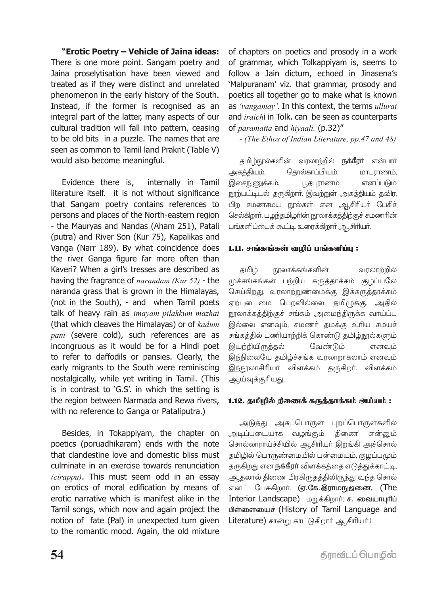**"Erotic Poetry – Vehicle of Jaina ideas:** There is one more point. Sangam poetry and Jaina proselytisation have been viewed and treated as if they were distinct and unrelated phenomenon in the early history of the South. Instead, if the former is recognised as an integral part of the latter, many aspects of our cultural tradition will fall into pattern, ceasing to be old bits in a puzzle. The names that are seen as common to Tamil land Prakrit (Table V) would also become meaningful.

Evidence there is, internally in Tamil literature itself. it is not without significance that Sangam poetry contains references to persons and places of the North-eastern region - the Mauryas and Nandas (Aham 251), Patali (putra) and River Son (Kur 75), Kapalikas and Vanga (Narr 189). By what coincidence does the river Ganga figure far more often than Kaveri? When a girl's tresses are described as having the fragrance of *narandam (Kur 52)* - the naranda grass that is grown in the Himalayas, (not in the South), - and when Tamil poets talk of heavy rain as *imayam pilakkum mazhai*  (that which cleaves the Himalayas) or of *kadum pani* (severe cold), such references are as incongruous as it would be for a Hindi poet to refer to daffodils or pansies. Clearly, the early migrants to the South were reminiscing nostalgically, while yet writing in Tamil. (This is in contrast to 'G.S'. in which the setting is the region between Narmada and Rewa rivers, with no reference to Ganga or Pataliputra.)

Besides, in Tokappiyam, the chapter on poetics (poruadhikaram) ends with the note that clandestine love and domestic bliss must culminate in an exercise towards renunciation *(cirappu)*. This must seem odd in an essay on erotics of moral edification by means of erotic narrative which is manifest alike in the Tamil songs, which now and again project the notion of fate (Pal) in unexpected turn given to the romantic mood. Again, the old mixture of chapters on poetics and prosody in a work of grammar, which Tolkappiyam is, seems to follow a Jain dictum, echoed in Jinasena's 'Malpuranam' viz. that grammar, prosody and poetics all together go to make what is known as *'vangamay'.* In this context, the terms *ullurai*  and *iraich*i in Tolk. can be seen as counterparts of *paramatta* and *hiyaali.* (p.32)"

*- (The Ethos of Indian Literature, pp.47 and 48)*

தமிழ்நூல்களின் வரலாற்றில் **நக்கீரா்** என்பாா் அகத்தியம், தொல்காப்பியம், மாபுராணம், இசைநுணுக்கம், பூதபுராணம் எனப்படும் நூற்பட்டியல் தருகிறார். இவற்றுள் அகத்தியம் தவிர, பிற சமணசமய நூல்கள் என ஆசிரியர் பேசிச் செல்கிறார். பழந்தமிழரின் நூலாக்கத்திற்குச் சமணரின் பங்களிப்பைக் கூட்டி உரைக்கிறார் ஆசிரியர்.

# 1.11. சங்கங்கள் வழிப் பங்களிப்பு:

தமிழ் நூலாக்கங்களின் வரலாற்றில் முச்சங்கங்கள் பற்றிய கருத்தாக்கம் குழப்பலே செய்கிறது. வரலாற்றுண்மைக்கு இக்கருத்தாக்கம் ஏற்புடைமை பெறவில்லை. தமிழுக்கு, அதில் நூலாக்கத்திற்குச் சங்கம் அமைந்திருக்க வாய்ப்பு இல்லை எனவும், சமணர் தமக்கு உரிய சமயச் சங்கத்தில் பணியாற்றிக் கொண்டு தமிழ்நூல்களும் இயற்றியிருத்தல் வேண்டும் எனவும் இந்நிலையே தமிழ்ச்சங்க வரலாறாகலாம் எனவும் இந்நூலாசிரியர் விளக்கம் தருகிறர். விளக்கம் ஆய்வுக்குரியது.

#### 1.12. தமிழில் திணைக் கருத்தாக்கம் அய்யம் :

அடுத்து அகப்பொருள் புறப்பொருள்களில் அடிப்படையாக வழங்கும் 'திணை' என்னும் சொல்லாராய்ச்சியில் ஆசிரியா் இறங்கி அச்சொல் தமிழில் பொருண்மையில் பன்மையும், குழப்பமும் தருகிறது என **நக்கீரா்** விளக்கத்தை எடுத்துக்காட்டி, ஆதலால் திணை பிரகிருதத்திலிருந்து வந்த சொல் எனப் பேசுகிறார். (ஏ.கே.இராமநுஜனை, (The Interior Landscape) மறுக்கிறார்; ச. வையாபுரிப் பிள்ளையைச் (History of Tamil Language and Literature) சான்று காட்டுகிறார் ஆசிரியர்.)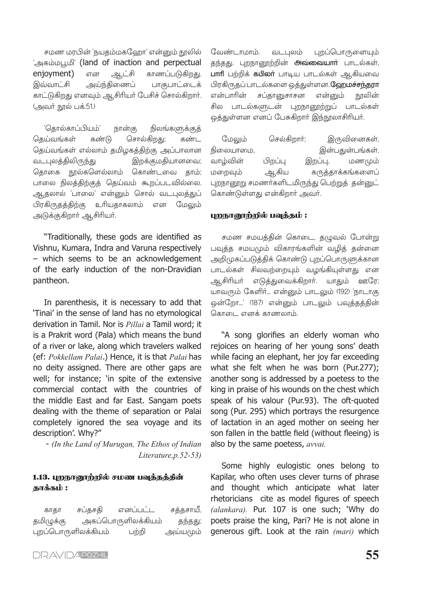சமண மரபின் 'நயதம்மகஹோ' என்னும் நூலில் `அகம்மபூமி' (land of inaction and perpectual eniovment) காணப்படுகிறது. என ஆட்சி இவ்வாட்சி அய்ந்கிணைப் பாகுபாட்டைக் காட்டுகிறது எனவும் ஆசிரியர் பேசிச் சொல்கிறார். (அவர் நூல் பக்.51.)

'தொல்காப்பியம்' நான்கு நிலங்களுக்குத் சொல்கிறது; தெய்வங்கள் கண்டு கண்ட கெய்வங்கள் எல்லாம் தமிழகத்திற்கு அப்பாலான வடபுலக்கிலிருந்து இறக்குமதியானவை; தொகை நூல்களெல்லாம் கொண்டவை தாம்; பாலை நிலத்திற்குத் தெய்வம் கூறப்படவில்லை. ஆதலால் 'பாலை' என்னும் சொல் வடபுலத்துப் பிரகிருதத்திற்கு உரியதாகலாம் என மேலும் அடுக்குகிறார் ஆசிரியர்.

"Traditionally, these gods are identified as Vishnu, Kumara, Indra and Varuna respectively - which seems to be an acknowledgement of the early induction of the non-Dravidian pantheon.

In parenthesis, it is necessary to add that 'Tinai' in the sense of land has no etymological derivation in Tamil. Nor is *Pillai* a Tamil word; it is a Prakrit word (Pala) which means the bund of a river or lake, along which travelers walked (ef: Pokkellam Palai.) Hence, it is that Palai has no deity assigned. There are other gaps are well; for instance; 'in spite of the extensive commercial contact with the countries of the middle East and far East. Sangam poets dealing with the theme of separation or Palai completely ignored the sea voyage and its description'. Why?"

- (In the Land of Murugan, The Ethos of Indian Literature,  $p.52-53$ )

#### 1.13. புறநானூற்றில் சமண பவுத்தத்தின் தாக்கம் :

எனப்பட்ட சத்தசாயீ, காகா சப்தசதி தமிழுக்கு அகப்பொருளிலக்கியம் தந்தது; புறப்பொருளிலக்கியம் அய்யமும் பற்றி

வேண்டாமாம். புறப்பொருளையும் வடபலம் தந்தது. புறநானூற்றின் **அவ்வையாா்** பாடல்கள், **பாாி** பற்றிக் **கபிலா்** பாடிய பாடல்கள் ஆகியவை பிரகிருதப் பாடல்களை ஒத்துள்ளன. **ஹேமச்சந்தரா** என்பாரின் சப்கானுசாசன என்னும் நூலின் சில பாடல்களுடன் புறநானூற்றுப் பாடல்கள் ஒக்குள்ளன எனப் பேசுகிறார் இந்நாலாசிரியர்.

செல்கிறார்; மேலும் இருவினைகள், நிலையாமை. இன்பதுன்பங்கள், வாம்வின் பிறப்பு இறப்பு, மணமும் மறைவும் ஆகிய கருத்தாக்கங்களைப் புறநானூறு சமணர்களிடமிருந்து பெற்றுத் தன்னுட் கொண்டுள்ளது என்கிறார் அவர்.

#### புறநானூற்றில் பவுத்தம் :

சமண சமயத்தின் கொடை, தழுவல் போன்று பவுத்த சமயமும் விகாரங்களின் வழித் தன்னை அறிமுகப்படுத்திக் கொண்டு புறப்பொருளுக்கான பாடல்கள் சிலவற்றையும் வழங்கியுள்ளது என ஆசிரியா் எடுத்துவைக்கிறாா். யாதும் ஊரே; யாவரும் கேளிர்... என்னும் பாடலும் (192) 'நாடாகு ஒன்றோ...' (187) என்னும் பாடலும் பவுத்தத்தின் கொடை எனக் காணலாம்.

"A song glorifies an elderly woman who rejoices on hearing of her young sons' death while facing an elephant, her joy far exceeding what she felt when he was born (Pur.277); another song is addressed by a poetess to the king in praise of his wounds on the chest which speak of his valour (Pur.93). The oft-quoted song (Pur. 295) which portrays the resurgence of lactation in an aged mother on seeing her son fallen in the battle field (without fleeing) is also by the same poetess, avvai.

Some highly eulogistic ones belong to Kapilar, who often uses clever turns of phrase and thought which anticipate what later rhetoricians cite as model figures of speech (alankara). Pur. 107 is one such; 'Why do poets praise the king, Pari? He is not alone in generous gift. Look at the rain (mari) which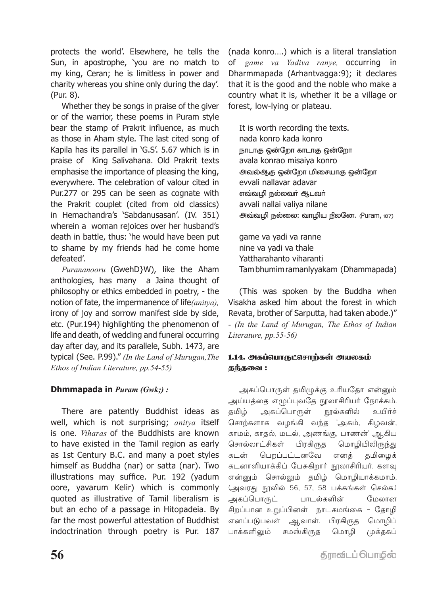protects the world'. Elsewhere, he tells the Sun, in apostrophe, 'you are no match to my king, Ceran; he is limitless in power and charity whereas you shine only during the day'. (Pur. 8).

Whether they be songs in praise of the giver or of the warrior, these poems in Puram style bear the stamp of Prakrit influence, as much as those in Aham style. The last cited song of Kapila has its parallel in 'G.S'. 5.67 which is in praise of King Salivahana. Old Prakrit texts emphasise the importance of pleasing the king, everywhere. The celebration of valour cited in Pur.277 or 295 can be seen as cognate with the Prakrit couplet (cited from old classics) in Hemachandra's 'Sabdanusasan'. (IV. 351) wherein a woman rejoices over her husband's death in battle, thus: 'he would have been put to shame by my friends had he come home defeated'.

*Purananooru* (GwehD}W), like the Aham anthologies, has many a Jaina thought of philosophy or ethics embedded in poetry, - the notion of fate, the impermanence of life*(anitya),*  irony of joy and sorrow manifest side by side, etc. (Pur.194) highlighting the phenomenon of life and death, of wedding and funeral occurring day after day, and its parallele, Subh. 1473, are typical (See. P.99)." *(In the Land of Murugan,The Ethos of Indian Literature, pp.54-55)*

# **Dhmmapada in** *Puram (Gwk;) :*

There are patently Buddhist ideas as well, which is not surprising; *anitya* itself is one. *Viharas* of the Buddhists are known to have existed in the Tamil region as early as 1st Century B.C. and many a poet styles himself as Buddha (nar) or satta (nar). Two illustrations may suffice. Pur. 192 (yadum oore, yavarum Kelir) which is commonly quoted as illustrative of Tamil liberalism is but an echo of a passage in Hitopadeia. By far the most powerful attestation of Buddhist indoctrination through poetry is Pur. 187

(nada konro….) which is a literal translation of *game va Yadiva ranye,* occurring in Dharmmapada (Arhantvagga:9); it declares that it is the good and the noble who make a country what it is, whether it be a village or forest, low-lying or plateau.

It is worth recording the texts. nada konro kada konro நாடாகு ஒன்றோ காடாகு ஒன்றோ avala konrao misaiya konro அவல்ஆகு ஒன்றோ மிசையாகு ஒன்றோ evvali nallavar adavar எவ்வமி நல்லவர் ஆடவர் avvali nallai valiya nilane அவ்வழி நல்லை; வாழிய நிலனே. (Puram, 187)

game va yadi va ranne nine va yadi va thale Yattharahanto viharanti Tam bhumim ramanlyyakam (Dhammapada)

(This was spoken by the Buddha when Visakha asked him about the forest in which Revata, brother of Sarputta, had taken abode.)" *- (In the Land of Murugan, The Ethos of Indian Literature, pp.55-56)*

# 1.14. <del>அ</del>கப்வொருட்சொற்கள் அயலகம் தந்தவை :

அகப்பொருள் தமிழுக்கு உரியதோ என்னும் அய்யத்தை எழுப்புவதே நூலாசிரியா் நோக்கம். தமிழ் அகப்பொருள் நூல்களில் உயிர்ச் சொற்களாக வழங்கி வந்த 'அகம், கிழவன், காமம், காதல், மடல், அணங்கு, பாணன்' ஆகிய சொல்லாட்சிகள் பிரகிருத மொழியிலிருந்து கடன் பெறப்பட்டனவே எனத் தமிழைக் கடனாளியாக்கிப் பேசுகிறார் நூலாசிரியர். களவு என்னும் சொல்லும் தமிழ் மொழியாக்கமாம். (அவரது நூலில் 56, 57, 58 பக்கங்கள் செல்க.) அகப்பொருட் பாடல்களின் மேலான சிறப்பான உறுப்பினள் நாடகமங்கை - தோழி எனப்படுபவள் ஆவாள். பிரகிருத மொழிப் பாக்களிலும் சமஸ்கிருத மொழி முக்தகப்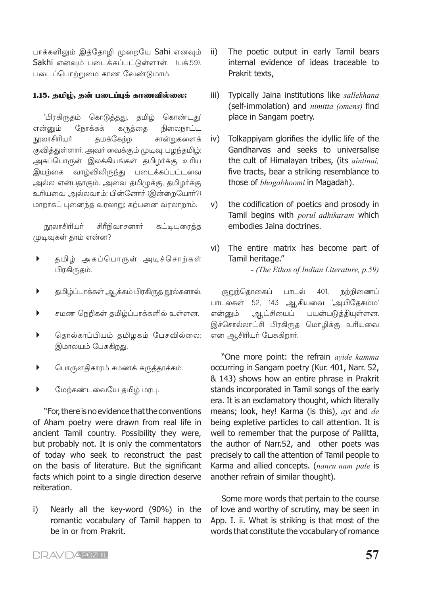பாக்களிலும் இத்தோழி முறையே Sahi எனவும் Sakhi எனவும் படைக்கப்பட்டுள்ளாள். (பக்.59). படைப்பொற்றுமை காண வேண்டுமாம்.

#### 1.15. தமிழ், தன் படைப்புக் காணவில்லை:

திரகிருகம் கொடுத்தது, தமிழ் கொண்டகட் என்னும் நோக்கக் கருத்தை நிலைநாட்ட நூலாசிரியா் தமக்கேற்ற சான்றுகளைக் குவித்துள்ளார். அவர் வைக்கும் முடிவு, பழந்தமிழ்; அகப்பொருள் இலக்கியங்கள் தமிழர்க்கு உரிய இயற்கை வாழ்விலிருந்து படைக்கப்பட்டவை அல்ல என்பதாகும். அவை தமிமுக்கு, தமிழர்க்கு உரியவை அல்லவாம்; பின்னோர் (இன்றையோர்?) மாறாகப் புனைந்த வரலாறு; கற்பனை வரலாறாம்.

சிரீநிவாசனார் நூலாசிரியா் கட்டியுரைக்க முடிவுகள் தாம் என்ன?

- $\blacktriangleright$ தமிழ் அகப்பொருள் அடிச்சொற்கள் பிரகிருதம்.
- $\blacktriangleright$ தமிழ்ப்பாக்கள் ஆக்கம் பிரகிருத நூல்களால்.
- $\blacktriangleright$ சமண நெறிகள் தமிழ்ப்பாக்களில் உள்ளன.
- $\blacktriangleright$ தொல்காப்பியம் தமிழகம் பேசவில்லை; இமாலயம் பேசுகிறது.
- பொருளதிகாரம் சமணக் கருத்தாக்கம்.  $\blacktriangleright$
- $\blacktriangleright$ மேற்கண்டவையே தமிழ் மரபு.

"For, there is no evidence that the conventions of Aham poetry were drawn from real life in ancient Tamil country. Possibility they were, but probably not. It is only the commentators of today who seek to reconstruct the past on the basis of literature. But the significant facts which point to a single direction deserve reiteration.

Nearly all the key-word (90%) in the i) romantic vocabulary of Tamil happen to be in or from Prakrit.

- The poetic output in early Tamil bears ii) internal evidence of ideas traceable to Prakrit texts,
- Typically Jaina institutions like sallekhana iii) (self-immolation) and *nimitta (omens)* find place in Sangam poetry.
- iv) Tolkappiyam glorifies the idyllic life of the Gandharvas and seeks to universalise the cult of Himalayan tribes, (its *aintinai*, five tracts, bear a striking resemblance to those of **bhogabhoomi** in Magadah).
- the codification of poetics and prosody in V) Tamil begins with porul adhikaram which embodies Jaina doctrines.
- vi) The entire matrix has become part of Tamil heritage."

- (The Ethos of Indian Literature, p.59)

குறுந்தொகைப் பாடல் நற்றிணைப் 401. பாடல்கள் 52, 143 ஆகியவை 'அயிதேகம்ம' ஆட்சியைப் பயன்படுத்தியுள்ளன. என்னும் இச்சொல்லாட்சி பிரகிருத மொழிக்கு உரியவை என ஆசிரியர் பேசுகிறார்.

"One more point: the refrain avide kamma occurring in Sangam poetry (Kur. 401, Narr. 52, & 143) shows how an entire phrase in Prakrit stands incorporated in Tamil songs of the early era. It is an exclamatory thought, which literally means; look, hey! Karma (is this), ayi and de being expletive particles to call attention. It is well to remember that the purpose of Paliltta, the author of Narr.52, and other poets was precisely to call the attention of Tamil people to Karma and allied concepts. (nanru nam pale is another refrain of similar thought).

Some more words that pertain to the course of love and worthy of scrutiny, may be seen in App. I. ii. What is striking is that most of the words that constitute the vocabulary of romance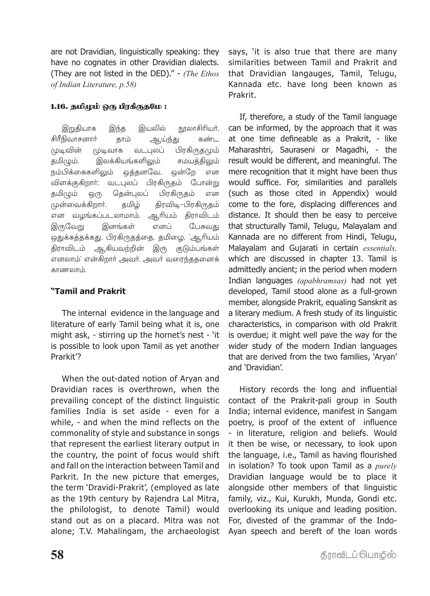are not Dravidian, linguistically speaking: they have no cognates in other Dravidian dialects. (They are not listed in the DED)." - (The Ethos of Indian Literature, p.58)

# 1.16. தமிழம் ஒரு பிரகிருதமே:

இறுதியாக இயலில் நூலாசிரியர், இந்த சிரீநிவாசனார் தாம் ஆய்ந்து கண்ட <u>முடிவின்</u> வடபலப் பிரகிருதமும் <u>*(முடிவாக</u>* தமிழும், இலக்கியங்களிலும் சமயக்கிலும் நம்பிக்கைகளிலும் ஒத்தனவே, ஒன்றே என விளக்குகிறார்; வடபுலப் பிரகிருதம் போன்று தமிழும் தென்புலப் பிரகிருகம் <u>ஒ</u>(௫ என முன்வைக்கிறார். தமிழ் திரவிடி–பிரகிருதம் என வழங்கப்படலாமாம். ஆரியம் திராவிடம் இருவேறு இனங்கள் எனப் பேசுவது ஒதுக்கத்தக்கது. பிரகிருதத்தை, தமிழை, 'ஆரியம் திராவிடம் ஆகியவற்றின் இரு குடும்பங்கள் எனலாம்' என்கிறார் அவர். அவர் வரைந்ததனைக் காணலாம்.

# "Tamil and Prakrit

The internal evidence in the language and literature of early Tamil being what it is, one might ask, - stirring up the hornet's nest - 'it is possible to look upon Tamil as yet another Prarkit'?

When the out-dated notion of Aryan and Dravidian races is overthrown, when the prevailing concept of the distinct linguistic families India is set aside - even for a while, - and when the mind reflects on the commonality of style and substance in songs that represent the earliest literary output in the country, the point of focus would shift and fall on the interaction between Tamil and Parkrit. In the new picture that emerges, the term 'Dravidi-Prakrit', (employed as late as the 19th century by Rajendra Lal Mitra, the philologist, to denote Tamil) would stand out as on a placard. Mitra was not alone; T.V. Mahalingam, the archaeologist says, 'it is also true that there are many similarities between Tamil and Prakrit and that Dravidian langauges, Tamil, Telugu, Kannada etc. have long been known as Prakrit.

If, therefore, a study of the Tamil language can be informed, by the approach that it was at one time defineable as a Prakrit, - like Maharashtri, Sauraseni or Magadhi, - the result would be different, and meaningful. The mere recognition that it might have been thus would suffice. For, similarities and parallels (such as those cited in Appendix) would come to the fore, displacing differences and distance. It should then be easy to perceive that structurally Tamil, Telugu, Malayalam and Kannada are no different from Hindi, Telugu, Malayalam and Gujarati in certain essentials, which are discussed in chapter 13. Tamil is admittedly ancient; in the period when modern Indian languages (apabhramsas) had not yet developed, Tamil stood alone as a full-grown member, alongside Prakrit, equaling Sanskrit as a literary medium. A fresh study of its linguistic characteristics, in comparison with old Prakrit is overdue; it might well pave the way for the wider study of the modern Indian languages that are derived from the two families, 'Aryan' and 'Dravidian'.

History records the long and influential contact of the Prakrit-pali group in South India; internal evidence, manifest in Sangam poetry, is proof of the extent of influence - in literature, religion and beliefs. Would it then be wise, or necessary, to look upon the language, i.e., Tamil as having flourished in isolation? To took upon Tamil as a  $purely$ Dravidian language would be to place it alongside other members of that linguistic family, viz., Kui, Kurukh, Munda, Gondi etc. overlooking its unique and leading position. For, divested of the grammar of the Indo-Ayan speech and bereft of the loan words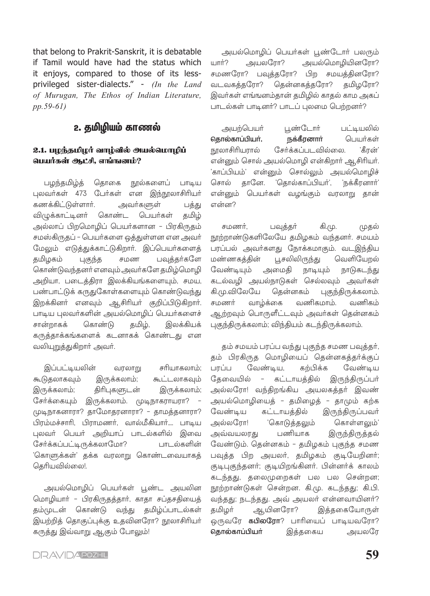that belong to Prakrit-Sanskrit, it is debatable if Tamil would have had the status which it eniovs, compared to those of its lessprivileged sister-dialects." - (In the Land of Murugan, The Ethos of Indian Literature,  $pp.59-61)$ 

# 2. தமிழியம் காணல்

# 2.1. பழந்தமிழர் வாழ்வில் அயல்மொழிப் பெயர்கள் ஆட்சி. எங்ஙனம்?

நூல்களைப் பழந்தமிழ்த் தொகை பாடிய புலவர்கள் 473 பேர்கள் என இந்நூலாசிரியர் கணக்கிட்டுள்ளார். அவர்களுள் பத்து தமிழ் விழுக்காட்டினர் கொண்ட பெயர்கள் அல்லாப் பிறமொழிப் பெயர்களான – பிரகிருதம் சமஸ்கிருதப் - பெயர்களை ஒத்துள்ளன என அவர் மேலும் எடுத்துக்காட்டுகிறார். இப்பெயர்களைத் சமண பவுத்தர்களே தமிழகம் புகுந்த கொண்டுவந்தனர் எனவும் அவர்களே தமிழ்மொழி அறியா, படைத்திரா இலக்கியங்களையும், சமய, பண்பாட்டுக் கருதுகோள்களையும் கொண்டுவந்து இறக்கினர் எனவும் ஆசிரியர் குறிப்பிடுகிறார். பாடிய புலவர்களின் அயல்மொழிப் பெயர்களைச் கொண்டு தமிழ், இலக்கியக் சான்றாகக் கருத்தாக்கங்களைக் கடனாகக் கொண்டது என வலியுறுத்துகிறார் அவர்.

இப்பட்டியலின் சரியாகலாம்: வரலாறு கூடுதலாகவும் இருக்கலாம்; கூட்டலாகவும் இருக்கலாம்: திரிபுகளுடன் இருக்கலாம்; சேர்க்கையும் இருக்கலாம். முடிநாகராயரா? -முடிநாகனாரா? தாமோதரனாரா? - தாமத்தனாரா? பிரம்மச்சாரி, பிராமணர், வால்மீகியார்.... பாடிய புலவர் பெயர் அறியாப் பாடல்களில் இவை சேர்க்கப்பட்டிருக்கலாமோ? பாடல்களின் 'கொளுக்கள்' தக்க வரலாறு கொண்டவையாகத் தெரியவில்லை!.

அயல்மொழிப் பெயர்கள் பூண்ட அயலின மொழியார் - பிரகிருதத்தார், காதா சப்தசதியைத் தம்முடன் கொண்டு வந்து தமிழ்ப்பாடல்கள் இயற்றித் தொகுப்புக்கு உதவினரோ? நூலாசிரியர் கருத்து இவ்வாறு ஆகும் போலும்!

அயல்மொழிப் பெயர்கள் பூண்டோர் பலரும் யார்? அயலரோ? அயல்மொழியினரோ? சமணரோ? பவுத்தரோ? பிற சமயத்தினரோ? தென்னகத்தரோ? வடவகத்தரோ? கமிமரோ? இவர்கள் எங்ஙனம்தான் தமிழில் காதல் காம அகப் பாடல்கள் பாடினர்? பாடப் புலமை பெற்றனர்?

பூண்டோர் அயற்பெயர் பட்டியலில் பெயர்கள் தொல்காப்பியா், நக்கீரனாா் நாலாசிரியாால் சேர்க்கப்படவில்லை. `கீான்' என்னும் சொல் அயல்மொழி என்கிறார் ஆசிரியர். 'காப்பியம்' என்னும் சொல்லும் அயல்மொழிச் தானே. 'தொல்காப்பியர்', 'நக்கீரனார்' சொல் என்னும் பெயர்கள் வமங்கும் வரலாறு கான் என்ன?

சமணர். பவக்கர் கி.மு. முகல் நூற்றாண்டுகளிலேயே தமிழகம் வந்தனர். சமயம் பரப்பல் அவர்களது நோக்கமாகும். வடஇந்திய மண்ணகத்தின் பூசலிலிருந்து வெளியேறல் வேண்டியும் அமைகி நாடியும் நாடுகடந்து கடல்வழி அயல்நாடுகள் செல்லவும் அவர்கள் கி.மு.விலேயே தென்னகம் புகுந்திருக்கலாம். சமணர் வாழ்க்கை வணிகமாம். வணிகம் ஆற்றவும் பொருளீட்டவும் அவர்கள் தென்னகம் புகுந்திருக்கலாம்; விந்தியம் கடந்திருக்கலாம்.

தம் சமயம் பரப்ப வந்து புகுந்த சமண பவுத்தர், தம் பிரகிருத மொழியைப் தென்னகத்தர்க்குப் பாப்ப வேண்டிய, கற்பிக்க வேண்டிய தேவையில் – கட்டாயத்தில் இருந்திருப்பர் அல்லரோ! வந்திறங்கிய அயலகத்தர் இவண் அயல்மொழியைத் – தமிழைத் – தாமும் கற்க வேண்டிய கட்டாயத்தில் இருந்திருப்பவர் அல்லரோ! 'கொடுத்தலும் கொள்ளலும்' பணியாக அவ்வயலரது இருந்திருத்தல் வேண்டும். தென்னகம் - தமிழகம் புகுந்த சமண பவுத்த பிற அயலர், தமிழகம் குடியேறினர்; குடிபுகுந்தனர்; குடியிறங்கினர். பின்னர்க் காலம் கடந்தது, தலைமுறைகள் பல பல சென்றன; நூற்றாண்டுகள் சென்றன. கி.மு. கடந்தது; கி.பி. வந்தது; நடந்தது. அவ் அயலர் என்னவாயினர்? ஆயினரோ? தமிழர் இத்தகையோருள் ஒருவரே **கபிலரோ**? பாரியைப் பாடியவரோ? தொல்காப்பியா் இத்தகைய அயலரே

**DRAVIDAPOZHIL**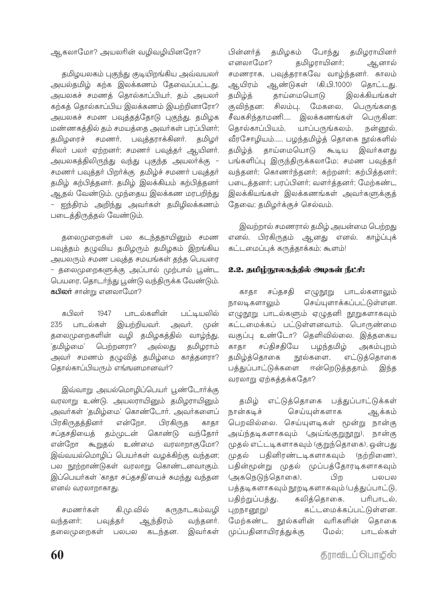#### ஆகலாமோ? அயலரின் வழிவழியினரோ?

தமிழயலகம் புகுந்து குடியிறங்கிய அவ்வயலா் அயல்தமிழ் கற்க இலக்கணம் தேவைப்பட்டது. அயலகச் சமணத் தொல்காப்பியா், தம் அயலா் கற்கத் தொல்காப்பிய இலக்கணம் இயற்றினாரோ? அயலகச் சமண பவுத்தத்தோடு புகுந்து, தமிழக மண்ணகத்தில் தம் சமயத்தை அவர்கள் பரப்பினர்; தமிழரைச் சமணர், பவுத்தராக்கினர். தமிழர் சிலர் பலர் ஏற்றனர்; சமணர் பவுத்தர் ஆயினர். அயலகத்திலிருந்து வந்து புகுந்த அயலர்க்கு – சமணர் பவுத்தர் பிறர்க்கு தமிழ்ச் சமணர் பவுத்தர் தமிழ் கற்பித்தனர். தமிழ் இலக்கியம் கற்பித்தனர் ஆதல் வேண்டும். முந்தைய இலக்கண மரபறிந்து ஐந்திரம் அறிந்து அவர்கள் தமிழிலக்கணம் படைத்திருத்தல் வேண்டும்.

தலைமுறைகள் பல கடந்ததாயினும் சமண பவுத்தம் தழுவிய தமிழரும் தமிழகம் இறங்கிய அயலரும் சமண பவுத்த சமயங்கள் தந்த பெயரை - தலைமுறைகளுக்கு அப்பால் முற்பால் பூண்ட பெயரை, தொடர்ந்து பூண்டு வந்திருக்க வேண்டும். **கபிலா்** சான்று எனலாமோ?

கபிலர் பாடல்களின் 1947 பட்டியலில் இயற்றியவா். அவர், (முன் 235 பாடல்கள் தலைமுறைகளின் வழி தமிழகத்தில் வாழ்ந்து, 'கமிழ்மை' பெற்றனரா? அல்லது தமிழராம் அவர் சமணம் தழுவித் தமிழ்மை காத்தனரா? தொல்காப்பியரும் எங்ஙனமானவர்?

இவ்வாறு அயல்மொழிப்பெயர் பூண்டோர்க்கு வரலாறு உண்டு. அயலராயினும் தமிழராயினும் அவர்கள் 'தமிழ்மை' கொண்டோர். அவர்களைப் பிரகிருதத்தினர் என்றோ, பிரகிருத காகா சப்தசதியைத் தம்முடன் கொண்டு வந்தோா் என்றோ கூறுதல் உண்மை வரலாறாகுமோ? இவ்வயல்மொழிப் பெயர்கள் வழக்கிற்கு வந்தன; பல நூற்றாண்டுகள் வரலாறு கொண்டனவாகும். இப்பெயர்கள் 'காதா சப்தசதி'யைச் சுமந்து வந்தன எனல் வரலாறாகாது.

சமணர்கள் கி.மு.வில் கருநாடகம்வழி ஆந்திரம் வந்தனர். வந்தனர்: பவக்கர் கடந்தன. இவர்கள் தலைமுறைகள் பலபல

பின்னர்க் தமிழகம் போந்து தமிழராயினர் எனலாமோ? தமிழராயினர்; ஆனால் சமணராக, பவுத்தராகவே வாழ்ந்தனர். காலம் ஆயிரம் ஆண்டுகள் (கி.பி.1000) கொட்டகு. தமிழ்த் தாய்மையொடு இலக்கியங்கள் குவிந்தன: சிலம்பு, மேகலை, பெருங்கதை சீவகசிந்காமணி..... இலக்கணங்கள் பெருகின: கொல்காப்பியம். யாப்பருங்கலம், நன்னூல், வீரசோழியம்...... பழந்தமிழ்த் தொகை நூல்களில் கமிம்க் காய்மையொடு கூடிய இவர்களகு பங்களிப்பு இருந்திருக்கலாமே: சமண பவுக்கர் வந்தனர்; கொணர்ந்தனர்; கற்றனர்; கற்பித்தனர்; படைத்தனர்; பரப்பினர்; வளர்த்தனர்; மேற்கண்ட இலக்கியங்கள் இலக்கணங்கள் அவர்களுக்குத் தேவை; தமிழர்க்குச் செல்வம்.

இவற்றால் சமணரால் தமிழ் அயன்மை பெற்றது எனல், பிரகிருதம் ஆனது எனல், காழ்ப்புக் கட்டமைப்புக் கருத்தாக்கம்; கூளம்!

#### 2.2. தமிழ்நூலகத்தில் அழகள் நீட்சி:

சப்கசகி எழுநூறு பாடல்களாலும் காகா நாலடிகளாலும் செய்யுளாக்கப்பட்டுள்ளன. எழுநூறு பாடல்களும் ஏழுதனி நூறுகளாகவும் கட்டமைக்கப் பட்டுள்ளனவாம். பொருண்மை வகுப்பு உண்டோ? தெளிவில்லை. இத்தகைய காகா சப்திசதியே பழந்தமிழ் அகம்புறம் கமிம்க்கொகை நூல்களை, எட்டுக்கொகை பத்துப்பாட்டுக்களை ஈன்றெடுத்ததாம். இந்த வரலாறு ஏற்கத்தக்கதோ?

எட்டுத்தொகை பத்துப்பாட்டுக்கள் கமிழ் நான்கடிச் செய்யுள்களாக ஆக்கம் பெறவில்லை. செய்யுளடிகள் மூன்று நான்கு அய்ந்தடிகளாகவும் (அய்ங்குறுநூறு), நான்கு முதல் எட்டடிகளாகவும் (குறுந்தொகை), ஒன்பது (மதல் பதினிரண்டடிகளாகவும் (நற்றிணை), பதின்மூன்று முதல் முப்பத்தோரடிகளாகவும் (அகநெடுந்தொகை), பிற <u> । គេអា</u> គេអ பத்தடிகளாகவும் நூறடிகளாகவும் (பத்துப்பாட்டு, பதிற்றுப்பத்து, கலித்தொகை, பரிபாடல், கட்டமைக்கப்பட்டுள்ளன. புறநானூறு) நூல்களின் கொகை மேற்கண்ட வரிகளின் முப்பதினாயிரத்துக்கு பாடல்கள் மேல்;

<u>த</u>ோவிடப் பொடுல்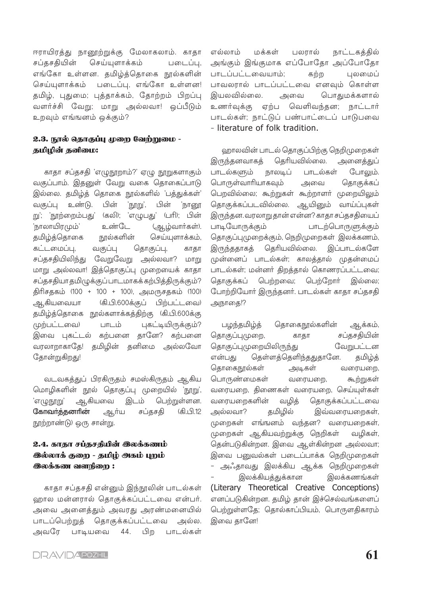ஈராயிரத்து நானூற்றுக்கு மேலாகலாம். காதா சப்கசகியின் செய்யுளாக்கம் படைப்பு, எங்கோ உள்ளன. தமிழ்த்தொகை நூல்களின் செய்யளாக்கம் படைப்பு, எங்கோ உள்ளன! தமிழ், புதுமை; புத்தாக்கம், தோற்றம் பிறப்பு வளர்ச்சி வேறு; மாறு அல்லவா! ஒப்பீடும் உறவும் எங்ஙனம் ஒக்கும்?

#### 2.3. நூல் தொகுப்பு முறை வேற்றுமை -கமிமின் கனிமை:

காதா சப்தசதி 'எழுநூறாம்?' ஏழு நூறுகளாகும் வகுப்பாம். இதனுள் வேறு வகை தொகைப்பாடு இல்லை. தமிழ்த் தொகை நூல்களில் 'பத்துக்கள்' வகுப்பு உண்டு. பின் 'நூறு', பின் 'நானூ று'; 'நூற்றைம்பது' (கலி); 'எழுபது' (பரி); பின் 'நாலாயிரமும்' உண்டே (ஆழ்வார்கள்). தமிழ்த்தொகை நூல்களின் செய்யுளாக்கம், கட்டமைப்பு, வகுப்பு தொகுப்பு, காகா சப்தசதியிலிந்து வேறுவேறு அல்லவா? மாறு மாறு அல்லவா! இத்தொகுப்பு முறையைக் காதா சப்தசதியா தமிழுக்குப் பாடமாகக் கற்பித்திருக்கும்? திரிசதகம் (100 + 100 + 100), அமருசதகம் (100) ஆகியவையா (கி.பி.600க்குப் பிற்பட்டவை) தமிழ்த்தொகை நூல்களாக்கத்திற்கு (கி.பி.600க்கு (மற்பட்டவை) பாடம் புகட்டியிருக்கும்? இவை புகட்டல் கற்பனை தானே? கற்பனை வரலாறாகாதே! தமிழின் தனிமை அல்லவோ தோன்றுகிறது!

வடவகத்துப் பிரகிருதம் சமஸ்கிருதம் ஆகிய மொழிகளின் நூல் தொகுப்பு முறையில் 'நூறு', பெற்றுள்ளன. 'எழுநூறு' ஆகியவை இடம் கோவர்த்தனரின் சப்தசதி (கி.பி.12 ஆர்ய நூற்றாண்டு) ஒரு சான்று.

# 2.4. காதா சப்தசதியின் இலக்கணம் இல்லாக் குறை - தமிழ் அகம் புறம் **இலக்கண வளநிறை:**

காதா சப்தசதி என்னும் இந்நூலின் பாடல்கள் ஹால மன்னரால் தொகுக்கப்பட்டவை என்பர். அவை அனைத்தும் அவரது அரண்மனையில் பாடப்பெற்றுத் தொகுக்கப்பட்டவை அல்ல. அவரே பாடியவை பிற பாடல்கள் 44.

எல்லாம் மக்கள் பலாால் நாட்டகத்தில் அங்கும் இங்குமாக எப்போதோ அப்போதோ பாடப்பட்டவையாம்; கற்ற பலமைப் பாவலரால் பாடப்பட்டவை எனவும் கொள்ள இயலவில்லை. அவை பொதுமக்களால் உணர்வுக்கு ஏற்ப வெளிவந்தன; நாட்டார் பாடல்கள்: நாட்டுப் பண்பாட்டைப் பாடுபவை - literature of folk tradition.

ஹாலவின் பாடல் தொகுப்பிற்கு நெறிமுறைகள் இருந்தனவாகத் தெரியவில்லை. அனைக்குப் பாடல்களும் நாலடிப் பாடல்கள் போலும். பொருள்வாரியாகவும் தொகுக்கப் அவை பெறவில்லை; கூற்றுகள் கூற்றாளர் முறையிலும் தொகுக்கப்படவில்லை. ஆயினும் வாய்ப்புகள் இருந்தன. வரலாறு தான் என்ன? காதா சப்தசதியைப் பாடியோருக்கும் பாடற்பொருளுக்கும் தொகுப்புமுறைக்கும், நெறிமுறைகள் இலக்கணம், இருந்ததாகத் தெரியவில்லை. இப்பாடல்களே முன்னைப் பாடல்கள்; காலத்தால் முதன்மைப் பாடல்கள்; மன்னர் திறத்தால் கொணரப்பட்டவை; தொகுக்கப் பெற்றவை; பெற்றோர் இல்லை; போற்றியோர் இருந்தனர். பாடல்கள் காதா சப்தசதி அநாதை!?

பழந்தமிழ்த் தொகைநூல்களின் ஆக்கம், சப்தசதியின் தொகுப்புமுறை, காகா தொகுப்புமுறையிலிருந்து வேறுபட்டன தெள்ளத்தெளிந்ததுதானே. என்பது தமிழ்த் தொகைநூல்கள் வரையறை, அடிகள் பொருண்மைகள் வரையறை, கூற்றுகள் வரையறை, திணைகள் வரையறை, செய்யுள்கள் வரையறைகளின் வழித் தொகுக்கப்பட்டவை அல்லவா? தமிழில் இவ்வரையறைகள், முறைகள் எங்ஙனம் வந்தன? வரையறைகள், முறைகள் ஆகியவற்றுக்கு நெறிகள் வழிகள், தென்படுகின்றன. இவை ஆள்கின்றன அல்லவா; இவை பனுவல்கள் படைப்பாக்க நெறிமுறைகள் – அஃதாவது இலக்கிய ஆக்க நெறிமுறைகள் இலக்கியத்துக்கான இலக்கணங்கள் (Literary Theoretical Creative Conceptions) எனப்படுகின்றன. தமிழ் தான் இச்செல்வங்களைப் பெற்றுள்ளதே; தொல்காப்பியம், பொருளதிகாரம் இவை தானே!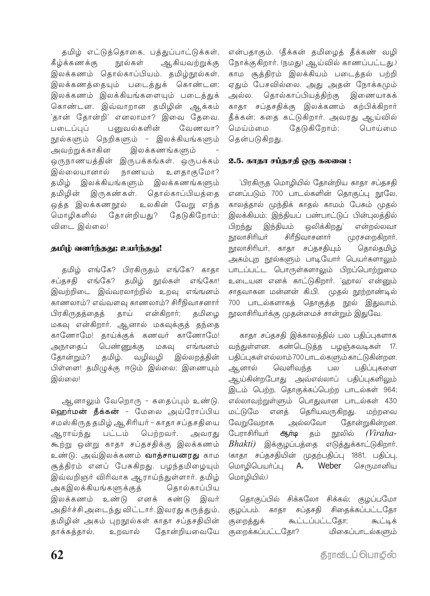தமிழ் எட்டுத்தொகை, பத்துப்பாட்டுக்கள், ஆகியவற்றுக்கு கீழ்க்கணக்கு நூல்கள் இலக்கணம் தொல்காப்பியம். தமிழ்நூல்கள், இலக்கணத்தையும் படைத்துக் கொண்டன; இலக்கணம் இலக்கியங்களையும் படைத்துக் கொண்டன. இவ்வாறான தமிழின் ஆக்கம் 'தான் தோன்றி' எனலாமா? இவை கேவை. படைப்புப் பனுவல்களின் வேணவா? நூல்களும் நெறிகளும் - இலக்கியங்களும் அவற்றுக்காகின இலக்கணங்களும் ஒருநாணயத்தின் இருபக்கங்கள். ஒருபக்கம் இல்லையானால் நாணயம் உளகாகுமோ? தமிழ் இலக்கியங்களும் இலக்கணங்களும் தமிழின் இருகண்கள். தொல்காப்பியத்தை ஒத்த இலக்கணநூல் உலகின் வேறு எந்த மொழிகளில் தோன்றியது? தேடுகிறோம்; விடை இல்லை!

#### தமிழ் வளர்ந்தது; உயர்ந்தது!

தமிழ் எங்கே? பிரகிருதம் எங்கே? காதா சப்தசதி எங்கே? தமிழ் நூல்கள் எங்கோ! இவற்றிடை இவ்வரலாற்றில் உறவு எங்ஙனம் காணலாம்? எவ்வளவு காணலாம்? சிரீநிவாசனார் தாய் பிரகிருதத்தைத் என்கிறார்; தமிழை மகவு என்கிறார். ஆனால் மகவுக்குத் தந்தை காணோமே! தாய்க்குக் கணவர் காணோமே! அநாதைப் பெண்ணுக்கு மகவு எங்ஙனம் கோன்றும்? தமிழ், வழிவழி இல்லறக்கின் பிள்ளை! தமிழுக்கு ஈடும் இல்லை; இணையும் இல்லை!

ஆனாலும் வேறொரு - கதைப்பும் உண்டு. **ஹெர்மன் தீக்கன் -** மேலை அய்ரோப்பிய சமஸ்கிருத தமிழ் ஆசிரியர் – காதா சப்தசதியை பட்டம் பெற்றவர். ஆராய்ந்து அவரது கூற்று ஒன்று காதா சப்தசதிக்கு இலக்கணம் உண்டு; அவ்இலக்கணம் **வாத்சாயனரது** காம சூத்திரம் எனப் பேசுகிறது. பழந்தமிழையும் இவ்வறிஞர் விரிவாக ஆராய்ந்துள்ளார். தமிழ் அகஇலக்கியங்களுக்குத் தொல்காப்பிய இலக்கணம் உண்டு எனக் கண்டு இவர் அதிர்ச்சி அடைந்து விட்டார். இவரது கருத்தும், தமிழின் அகம் புறநூல்கள் காதா சப்தசதியின் தோன்றியவையே தாக்கத்தால், உறவால்

என்பதாகும். (தீக்கன் தமிழைத் தீக்கண் வழி நோக்குகிறார். (நமது) ஆய்வில் காணப்பட்டது.) காம சூத்திரம் இலக்கியம் படைத்தல் பற்றி ஏதும் பேசவில்லை. அது அதன் நோக்கமும் தொல்காப்பியத்திற்கு இணையாகக் அல்ல. காதா சப்தசதிக்கு இலக்கணம் கற்பிக்கிறார் கீக்கன்; கதை கட்டுகிறார். அவரது ஆய்வில் தேடுகிறோம்; மெய்ம்மை பொய்மை தென்படுகிறது.

#### 2.5. காகா சப்தசதி ஒரு கலவை :

பிரகிருத மொழியில் தோன்றிய காதா சப்தசதி எனப்படும் 700 பாடல்களின் தொகுப்பு நூலே, காலத்தால் முந்திக் காதல் காமம் பேசும் முதல் இலக்கியம்; இந்தியப் பண்பாட்டுப் பின்புலத்தில் இந்தியம் ஒலிக்கிறது' பிறந்து என்றல்லவா சிரீநிவாசனார் நூலாசிரியா் முரசறைகிறார். நூலாசிரியா், காதா சப்தசதியும் கொல்தமிழ் அகம்புற நூல்களும் பாடியோர் பெயர்களாலும் பாடப்பட்ட பொருள்களாலும் பிறப்பொற்றுமை உடையன எனக் காட்டுகிறார். 'ஹால' என்னும் சாதவாகன மன்னன் கி.பி. முதல் நூற்றாண்டில் 700 பாடல்களாகத் தொகுத்த நூல் இதுவாம். நூலாசிரியா்க்கு முதன்மைச் சான்றும் இதுவே.

காதா சப்தசதி இக்காலத்தில் பல பதிப்புகளாக வந்துள்ளன. கண்டெடுத்த பழஞ்சுவடிகள் 17. பதிப்புகள் எல்லாம் 700 பாடல்களும் காட்டுகின்றன. ஆனால் வெளிவந்த பதிப்புகளை பல ஆய்கின்றபோது அவ்எல்லாப் பதிப்புகளிலும் இடம் பெற்ற, தொகுக்கப்பெற்ற பாடல்கள் 964; எல்லாவற்றுள்ளும் பொதுவான பாடல்கள் 430 மட்டுமே எனக் தெரியவருகிறது. மற்றவை வேறுவேறாக அல்லவோ தோன்றுகின்றன. போாசிரியர் நூலில் ஆர்டி தம் (Viraha- $Bhakti$ ) இக்குழப்பத்தை எடுத்துக்காட்டுகிறார். (காதா சப்தசதியின் முதற்பதிப்பு 1881, பதிப்பு, மொழிபெயர்ப்பு A. Weber செருமானிய மொழியில்.)

தொகுப்பில் சிக்கலோ சிக்கல்; குழப்பமோ குழப்பம். காதா சிகைக்கப்பட்டதோ சப்தசதி கூட்டப்பட்டகோ: குறைக்குக் கூட்டிக் குறைக்கப்பட்டதோ? மிகைப்பாடல்களும்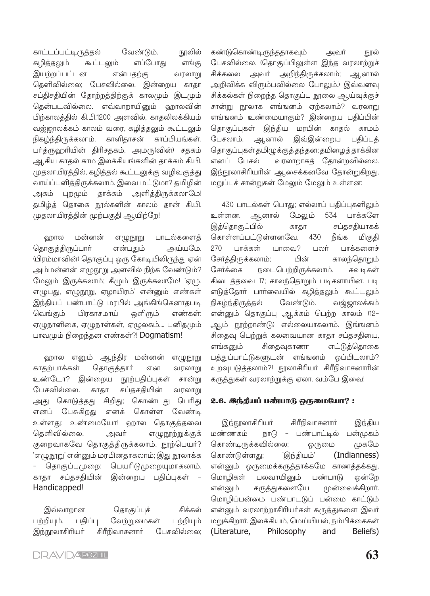காட்டப்பட்டிருத்தல் வேண்டும். நூலில் கூட்டலும் எப்போது கழித்தலும் எங்கு இயற்றப்பட்டன என்பகற்கு வரலாறு தெளிவில்லை; பேசவில்லை. இன்றைய காதா சப்திசதியின் தோற்றத்திற்குக் காலமும் இடமும் தென்படவில்லை. எவ்வாறாயினும் வறாலவின் பிற்காலத்தில் கி.பி.1200 அளவில், காதலிலக்கியம் வஜ்ஜாலக்கம் காலம் வரை, கழித்தலும் கூட்டலும் நிகழ்ந்திருக்கலாம். காளிதாசன் காப்பியங்கள், பா்த்ருஹாியின் திாிசதகம், அமரு(வின்) சதகம் ஆகிய காதல் காம இலக்கியங்களின் தாக்கம் கி.பி. முதலாயிரத்தில், கழித்தல் கூட்டலுக்கு வழிவகுத்து வாய்ப்பளித்திருக்கலாம். இவை மட்டுமா? தமிழின் புறமும் தாக்கம் அளித்திருக்கலாமே! அகம் தமிழ்த் தொகை நூல்களின் காலம் தான் கி.பி. முதலாயிரத்தின் முற்பகுதி ஆயிற்றே!

மன்னன் பாடல்களைத் ஹால எழுநூறு தொகுத்திருப்பார் என்பதும் அய்யமே. (பிரம்மாவின்) தொகுப்பு ஒரு கோடியிலிருந்து ஏன் அம்மன்னன் எழுநூறு அளவில் நிற்க வேண்டும்? மேலும் இருக்கலாம்; கீழும் இருக்கலாமே! 'ஏழு, எழுபது, எழுநூறு, ஏழாயிரம்' என்னும் எண்கள் இந்தியப் பண்பாட்டு மரபில் அங்கிங்கெனாதபடி பிரகாசமாய் வெங்கும் ஒளிரும் எண்கள்: ஏழுநாளிகை, ஏழுநாள்கள், ஏழுலகம்.... புனிதமும் பாவமும் நிறைந்தன எண்கள்?! Dogmatism!

ஹால எனும் ஆந்திர மன்னன் எழுநூறு காதற்பாக்கள் தொகுத்தார் என வரலாறு உண்டோ? இன்றைய நூற்பதிப்புகள் சான்று பேசவில்லை. காகா சப்தசதியின் வரலாறு அது கொடுத்தது சிறிது; கொண்டது பெரிது எனப் பேசுகிறது எனக் கொள்ள வேண்டி உள்ளது; உண்மையோ! ஹால தொகுத்தவை தெளிவில்லை. அவர் எழுநூற்றுக்குக் குறைவாகவே தொகுத்திருக்கலாம். நூற்பெயர்? 'எழுநூறு' என்னும் மரபினதாகலாம்; இது நூலாக்க தொகுப்புமுறை; பெயரிடுமுறையுமாகலாம். காதா சப்தசதியின் இன்றைய பதிப்புகள் Handicapped!

சிக்கல் இவ்வாறான கொகுப்புச் வேற்றுமைகள் பற்றியும், பகிப்பு பற்றியும் இந்நூலாசிரியா் சிரீநிவாசனார் பேசவில்லை;

கண்டுகொண்டிருந்ததாகவும் அவர் நால் பேசவில்லை. (தொகுப்பிலுள்ள இந்த வரலாற்றுச் சிக்கலை அவா் அறிந்திருக்கலாம்; ஆனால் அறிவிக்க விரும்பவில்லை போலும்.) இவ்வளவு சிக்கல்கள் நிறைந்த தொகுப்பு நூலை ஆய்வுக்குச் சான்று நூலாக எங்ஙனம் ஏற்கலாம்? வரலாறு எங்ஙனம் உண்மையாகும்? இன்றைய பதிப்பின் தொகுப்புகள் இந்திய மரபின் காதல் காமம் பேசலாம். ஆனால் இவ்இன்றைய பதிப்புக் தொகுப்புகள் தமிழுக்குத் தந்தன; தமிழைத் தாக்கின எனப் பேசல் வரலாறாகத் தோன்றவில்லை. இந்நூலாசிரியரின் ஆசைக்கனவே தோன்றுகிறது. மறுப்புச் சான்றுகள் மேலும் மேலும் உள்ளன:

430 பாடல்கள் பொது; எல்லாப் பதிப்புகளிலும் உள்ளன. ஆனால் மேலும் 534 பாக்களே இக்கொகுப்பில் காகா சப்கசகியாகக் கொள்ளப்பட்டுள்ளனவே. நீங்க 430 மிகுதி பாக்கள் யாவை? பலர் பாக்களைச் 270 சேர்த்திருக்கலாம்; பின் காலந்தொறும் சேர்க்கை நடைபெற்றிருக்கலாம். சுவடிகள் கிடைத்தவை 17; காலந்தொறும் படிகளாயின. படி எடுத்தோா் பாா்வையில் கழித்தலும் கூட்டலும் வேண்டும். நிகழ்ந்திருத்தல் வஜ்ஜாலக்கம் என்னும் தொகுப்பு ஆக்கம் பெற்ற காலம் (12– ஆம் நூற்றாண்டு) எல்லையாகலாம். இங்ஙனம் சிதைவு பெற்றுக் கலவையான காதா சப்தசதியை, எட்டுத்தொகை எங்கனும் சிதைவுகாணா பத்துப்பாட்டுகளுடன் எங்ஙனம் ஒப்பிடலாம்? உறவுபடுத்தலாம்?! நூலாசிரியா் சிரீநிவாசனாரின் கருத்துகள் வரலாற்றுக்கு ஏலா. வம்பே இவை!

#### 2.6. இந்தியப் பண்பாடு ஒருமையோ?:

இந்நூலாசிரியா் சிரீநிவாசனார் இந்திய நாடு - பண்பாட்டில் பன்முகம் மண்ணகம் கொண்டிருக்கவில்லை; ஒருமை முகமே கொண்டுள்ளது; 'இந்தியம்' (Indianness) என்னும் ஒருமைக்கருத்தாக்கமே காணத்தக்கது. பலவாயினும் மொழிகள் பண்பாடு ஒன்றே கருத்துகளையே முன்வைக்கிறார். என்னும் மொழிப்பன்மை பண்பாடடுப் பன்மை காட்டும் என்னும் வரலாற்றாசிரியர்கள் கருத்துகளை இவர் மறுக்கிறார். இலக்கியம், மெய்யியல், நம்பிக்கைகள் (Literature, Philosophy Beliefs) and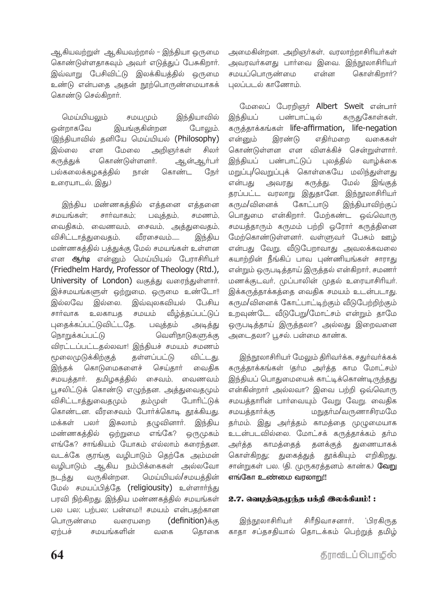ஆகியவற்றுள் ஆகியவற்றால் – இந்தியா ஒருமை கொண்டுள்ளதாகவும் அவர் எடுத்துப் பேசுகிறார். இவ்வாறு பேசிவிட்டு இலக்கியத்தில் ஒருமை உண்டு என்பதை அதன் நூற்பொருண்மையாகக் கொண்டு செல்கிறார்.

மெய்யியலம் சமயமம் இந்தியாவில் ஒன்றாகவே இயங்குகின்றன போலும். (இந்தியாவில் தனியே மெய்யியல் (Philosophy) அறிஞர்கள் இல்லை என மேலை சிலர் கொண்டுள்ளனர். கருக்குக் ஆன்ஆர்பர் பல்கலைக்கழகத்தில் நான் கொண்ட நேர் உரையாடல், இது.)

இந்திய மண்ணகத்தில் எத்தனை எத்தனை சமயங்கள்; சார்வாகம்; பவுத்தம், சமணம், வைகிகம், வைணவம், சைவம், அக்குவைகம், வீாசைவம்...... விசிட்டாத்துவைதம், இந்திய மண்ணகத்தில் பத்துக்கு மேல் சமயங்கள் உள்ளன என **ஆா்டி** என்னும் மெய்யியல் பேராசிரியா் (Friedhelm Hardy, Professor of Theology (Rtd.), University of London) வகுத்து வரைந்துள்ளார். இச்சமயங்களுள் ஒற்றுமை, ஒருமை உண்டோ!! இவ்வுலகவியல் பேசிய இல்லவே இல்லை. சார்வாக வீழ்த்தப்பட்டுப் உலகாயக சமயம் புதைக்கப்பட்டுவிட்டதே. அடித்து பவுத்தம் நொறுக்கப்பட்டு வெளிநாடுகளுக்கு விரட்டப்பட்டதல்லவா! இந்தியச் சமயம் சமணம் மூலைமுடுக்கிற்குத் கள்ளப்பட்டு விட்டது. கொடுமைகளைச் செய்தார் வைகிக இந்தக் சமயத்தாா். தமிழகத்தில் சைவம், வைணவம் பூசலிட்டுக் கொண்டு எழுந்தன. அத்துவைதமும் விசிட்டாத்துவைதமும் தம்முள் போரிட்டுக் கொண்டன. வீரசைவம் போர்க்கொடி தூக்கியது. இசுலாம் தழுவினாா். இந்திய மக்கள் பலர் ஒற்றுமை எங்கே? மண்ணகத்தில் ஒருமுகம் எங்கே? சாங்கியம் யோகம் எல்லாம் கரைந்தன. வடக்கே குரங்கு வழிபாடும் தெற்கே அம்மன் வழிபாடும் ஆகிய நம்பிக்கைகள் அல்லவோ வருகின்றன. மெய்யியல்/சமயத்தின் நடந்து மேல் சமயப்பித்தே (religiousity) உள்ளார்ந்து பரவி நிற்கிறது. இந்திய மண்ணகத்தில் சமயங்கள் பல பல; பற்பல; பன்மை!! சமயம் என்பதற்கான பொருண்மை வரையறை (definition) க்கு சமயங்களின் தொகை ஏற்பச் வகை

அமைகின்றன. அறிஞர்கள், வரலாற்றாசிரியர்கள் அவரவர்களது பார்வை இவை. இந்நூலாசிரியர் சமயப்பொருண்மை கொள்கிறார்? என்ன புலப்படல் காணோம்.

மேலைப் பேரறிஞர் Albert Sweit என்பார் இந்தியப் பண்பாட்டீல் கருதுகோள்கள், கருத்தாக்கங்கள் life-affirmation, life-negation எதிர்மறை என்னும் இரண்டு வகைகள் கொண்டுள்ளன என விளக்கிச் சென்றுள்ளார். இந்தியப் பண்பாட்டுப் புலக்கில் வாம்க்கை மறுப்பு/வெறுப்புக் கொள்கையே மலிந்துள்ளது என்பகட அவரது கருத்து. மேல் இங்குக் தரப்பட்ட வரலாறு இதுதானே. இந்நூலாசிரியர் கரும/வினைக் கோட்பாடு இந்தியாவிற்குப் பொதுமை என்கிறார். மேற்கண்ட ஒவ்வொரு சமயத்தாரும் கருமம் பற்றி ஒரோர் கருத்தினை மேற்கொண்டுள்ளனர். வள்ளுவர் பேசும் ஊழ் என்பது வேறு. வீடுபேறாவாது அவலக்கவலை கயாற்றின் நீங்கிப் பாவ புண்ணியங்கள் சாராது என்றும் ஒருபடித்தாய் இருத்தல் என்கிறார், சமணர் மணக்குடவர், முப்பாலின் முதல் உரையாசிரியர். இக்கருத்தாக்கத்தை வைதிக சமயம் உடன்படாது. கரும/வினைக் கோட்பாட்டிற்கும் வீடுபேற்றிற்கும் உறவுண்டே. வீடுபேறு/மோட்சம் என்றும் தாமே ஒருபடித்தாய் இருத்தலா? அல்லது இறைவனை அடைதலா? பூசல். பன்மை காண்க.

இந்நூலாசிரியர் மேலும் திரிவர்க்க, சதுர்வர்க்கக் கருத்தாக்கங்கள் (தா்ம அா்த்த காம மோட்சம்) இந்தியப் பொதுமையைக் காட்டிக்கொண்டிருந்தது என்கின்றார் அல்லவா? இவை பற்றி ஒவ்வொரு சமயத்தாரின் பார்வையும் வேறு வேறு. வைதிக சமயத்தார்க்கு மநுதா்ம/வருணாசிரமமே தா்மம். இது அா்த்தம் காமத்தை முழுமையாக உடன்படவில்லை. மோட்சக் கருத்தாக்கம் தர்ம துணையாகக் காமத்தைத் தனக்குத் அர்க்க கொள்கிறது; துகைத்துத் தூக்கியும் எறிகிறது. சான்றுகள் பல. (தி. முருகரத்தனம் காண்க.) **வேறு** எங்கோ உண்மை வரலாறு!!

#### 2.7. வெழத்தெழந்த பக்தி இலக்கியம்!:

இந்நூலாசிரியர் சிரீநிவாசனார், 'பிரகிருக காதா சப்தசதியால் தொடக்கம் பெற்றுத் தமிழ்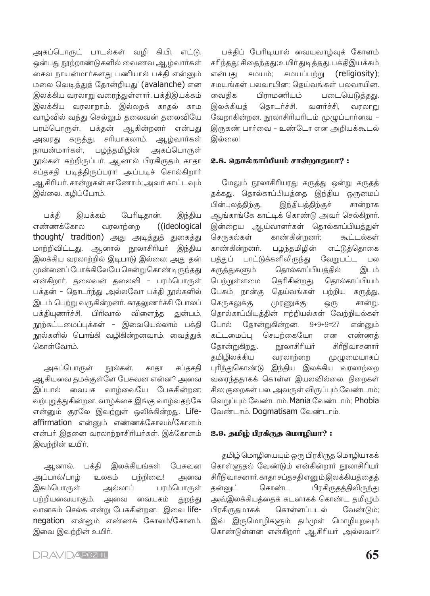அகப்பொருட் பாடல்கள் வழி கி.பி. எட்டு, ஒன்பது நூற்றாண்டுகளில் வைணவ ஆழ்வார்கள் சைவ நாயன்மார்களது பணியால் பக்தி என்னும் மலை வெடித்துத் தோன்றியது' (avalanche) என இலக்கிய வரலாறு வரைந்துள்ளார். பக்திஇயக்கம் இலக்கிய வரலாறாம். இல்லறக் காதல் காம வாழ்வில் வந்து செல்லும் தலைவன் தலைவியே பரம்பொருள், பக்தன் ஆகின்றனர் என்பது அவரது கருத்து. சரியாகலாம். ஆழ்வார்கள் நாயன்மார்கள். பழந்தமிழின் அகப்பொருள் நூல்கள் கற்றிருப்பர். ஆனால் பிரகிருதம் காதா சப்தசதி படித்திருப்பரா! அப்படிச் சொல்கிறார் ஆசிரியர். சான்றுகள் காணோம்; அவர் காட்டவும் இல்லை. கழிப்போம்.

பேரிடிதான். பக்கி இயக்கம் இந்திய எண்ணக்கோல ((ideological வரலாற்றை thought/ tradition) அது அடித்துத் துகைத்து மாற்றிவிட்டது. ஆனால் நூலாசிரியா் இந்திய இலக்கிய வரலாற்றில் இடிபாடு இல்லை; அது தன் முன்னைப் போக்கிலேயே சென்று கொண்டிருந்தது என்கிறார். தலைவன் தலைவி - பரம்பொருள் பக்தன் - தொடர்ந்து அல்லவோ பக்தி நூல்களில் இடம் பெற்று வருகின்றனர். காதலுணர்ச்சி போலப் பக்தியுணர்ச்சி, பிரிவால் விளைந்த துன்பம், நூற்கட்டமைப்புக்கள் - இவையெல்லாம் பக்தி நூல்களில் பொங்கி வழிகின்றனவாம். வைத்துக் கொள்வோம்

அகப்பொருள் நூல்கள், காகா சப்தசதி ஆகியவை தமக்குள்ளே பேசுவன என்ன? அவை இப்பால் வையக வாழ்வையே பேசுகின்றன; வற்புறுத்துகின்றன. வாழ்க்கை இங்கு வாழ்வதற்கே என்னும் குரலே இவற்றுள் ஒலிக்கின்றது. Lifeaffirmation என்னும் எண்ணக்கோலம்/கோளம் என்பர் இதனை வரலாற்றாசிரியர்கள். இக்கோளம் இவற்றின் உயிர்.

ஆனால், பக்கி இலக்கியங்கள் பேசுவன அப்பால்/பாழ் உலகம் பற்றிவை! அவை இகம்பொருள் பரம்பொருள் அல்லாப் பற்றியவையாகும். அவை வையகம் துறந்து வானகம் செல்க என்று பேசுகின்றன. இவை lifenegation என்னும் எண்ணக் கோலம்/கோளம். இவை இவற்றின் உயிர்.

பக்திப் பேரிடியால் வையவாழ்வுக் கோளம் சரிந்தது; சிதைந்தது; உயிர் துடித்தது. பக்திஇயக்கம் என்பகு சமயம்; சமயப்பற்று (religiosity): சமயங்கள் பலவாயின; தெய்வங்கள் பலவாயின. பிாாமணியம் படையெடுத்தது. வைகிக இலக்கியக் தொடர்ச்சி, வளர்ச்சி, வரலாறு வேறாகின்றன. நூலாசிரியரிடம் முழுப்பார்வை – இருகண் பார்வை - உண்டோ என அறியக்கூடல் இல்லை!

#### 2.8. தொல்காப்பியம் சான்றாகுமா?:

மேலும் நூலாசிரியரது கருத்து ஒன்று கருதத் தக்கது. தொல்காப்பியத்தை இந்திய ஒருமைப் பின்புலத்திற்கு, இந்தியத்திற்குச் சான்றாக ஆங்காங்கே காட்டிக் கொண்டு அவர் செல்கிறார். இன்றைய ஆய்வாளர்கள் தொல்காப்பியத்துள் காண்கின்றனர்; செருகல்கள் கூட்டல்கள் காண்கின்றனர். பழந்தமிழின் எட்டுத்தொகை பத்துப் பாட்டுக்களிலிருந்து வேறுபட்ட பல கருத்துகளும் தொல்காப்பியத்தில் இடம் பெற்றுள்ளமை தெரிகின்றது. தொல்காப்பியம் பேசும் நான்கு தெய்வங்கள் பற்றிய கருத்து, செருகலுக்கு முரணுக்கு ஒரு சான்று. தொல்காப்பியத்தின் ஈற்றியல்கள் வேற்றியல்கள் போல் தோன்றுகின்றன.  $9 + 9 + 9 = 27$ என்னும் கட்டமைப்பு செயற்கையோ என எண்ணக் தோன்றுகிறது. நூலாசிரியா் சிரீநிவாசனார் கமிமிலக்கிய வரலாற்றை முமுமையாகப் புரிந்துகொண்டு இந்திய இலக்கிய வரலாற்றை வரைந்ததாகக் கொள்ள இயலவில்லை. நிறைகள் சில; குறைகள் பல. அவருள் விருப்பும் வேண்டாம்; வெறுப்பும் வேண்டாம். Mania வேண்டாம்; Phobia வேண்டாம். Dogmatisam வேண்டாம்.

#### 2.9. தமிழ் பிரகீருத மொழியா?:

தமிழ் மொழியையும் ஒரு பிரகிருத மொழியாகக் கொள்ளுதல் வேண்டும் என்கின்றார் நூலாசிரியர் சிரீநிவாசனார். காதா சப்தசதி எனும் இலக்கியத்தைத் கன்னுட் கொண்ட பிரகிருதத்திலிருந்து அவ்இலக்கியத்தைக் கடனாகக் கொண்ட தமிழும் பிரகிருதமாகக் கொள்ளப்படல் வேண்டும்: இவ் இருமொழிகளும் தம்முள் மொழியுறவும் கொண்டுள்ளன என்கிறார் ஆசிரியர் அல்லவா?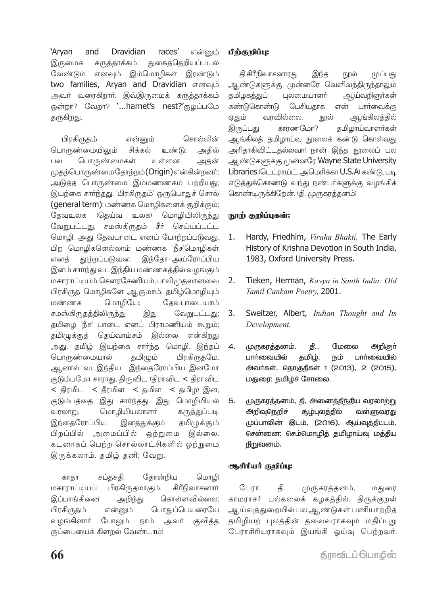'Arvan and **Dravidian** races' என்னும் துகைத்தெறியப்படல் இருமைக் கருத்தாக்கம் வேண்டும் எனவும் இம்மொழிகள் இரண்டும் two families, Aryan and Dravidian எனவும் அவா் வரைகிறாா். இவ்இருமைக் கருத்தாக்கம் ஒன்றா? வேறா? `...harnet's nest?'குழப்பமே கருகிறது.

சொல்லின் பிரகிருதம் என்னும் பொருண்மையிலும் சிக்கல் உண்டு; அகில் பொருண்மைகள்  $\overline{1}$  IQ) உள்ளன. அகன் முதற்பொருண்மைதோற்றம்(Origin)என்கின்றனர்; அடுத்த பொருண்மை இம்மண்ணகம் பற்றியது; இயற்கை சார்ந்தது. 'பிரகிருதம்' ஒருபொதுச் சொல் (general term); மண்ணக மொழிகளைக் குறிக்கும்; தேவஉலக (தெய்வ உலக) மொழியிலிருந்து வேறுபட்டது. சமஸ்கிருதம் சீர் செய்யப்பட்ட மொழி. அது தேவபாடை எனப் போற்றப்படுவது. பிற மொழிகளெல்லாம் மண்ணக 'நீச'மொழிகள் தூற்றப்படுவன. இந்தோ–அய்ரோப்பிய எனத் இனம் சார்ந்து வடஇந்திய மண்ணகத்தில் வழங்கும் மகாராட்டியம்,சௌரசேணியம்,பாலிமுதலானவை பிரகிருத மொழிகளே ஆகுமாம். தமிழ்மொழியும் மண்ணக மொழியே; தேவபாடையாம் வேறுபட்டது; சமஸ்கிருதத்திலிருந்து இது தமிழை 'நீச' பாடை எனப் பிராமணியம் கூறும்; தமிழுக்குத் தெய்வாம்சம் இல்லை என்கிறது அது. தமிழ் இயற்கை சார்ந்த மொழி. இந்தப் பொருண்மையால் கமிமும் பிரகிருகமே. ஆனால் வடஇந்திய இந்தைரோப்பிய இனமோ குடும்பமோ சாராது, திருவிட (திராவிட < திராவிட  $<$  திரமிட  $<$  தீரமிள  $<$  தமிள  $<$  தமிழ) இன, குடும்பத்தை இது சாா்ந்தது. இது மொழியியல் மொழியியலாளர் கருத்துப்படி வரலாறு. இந்தைரோப்பிய இனத்துக்கும் தமிழுக்கும் அமைப்பில் ஒற்றுமை பிறப்பில் இல்லை. கடனாகப் பெற்ற சொல்லாட்சிகளில் ஒற்றுமை இருக்கலாம். தமிழ் தனி; வேறு.

தோன்றிய மொழி காகா சப்தசதி மகாராட்டியப் பிரகிருதமாகும். சிரீநிவாசனார் இப்பாங்கினை அறிந்து கொள்ளவில்லை; பொதுப்பெயரையே பிரகிருதம் என்னும் போலும். நாம் வமங்கினாா் அவர் குவித்த குப்பையைக் கிளறல் வேண்டாம்!

# பிற்குறிப்பு:

தி.சிரீநிவாசனாரது இந்த முப்பது நூல் ஆண்டுகளுக்கு முன்னரே வெளிவந்திருந்தாலும் தமிழகத்துப் புலமையாளர் ஆய்வறிஞர்கள் என் கண்டுகொண்டு பேசியதாக பார்வைக்கு ஏதும் வாவில்லை. <u>ஆங்கிலக்கில்</u> நால் இருப்பது காரணமோ? தமிழாய்வாளர்கள் ஆங்கிலத் தமிழாய்வு நூலைக் கண்டு கொள்வது அரிதாகிவிட்டதல்லவா! நான் இந்த நூலைப் பல ஆண்டுகளுக்கு முன்னரே Wayne State University Libraries (டெட்ராய்ட், அமெரிக்கா U.S.A) கண்டு, படி எடுத்துக்கொண்டு வந்து நண்பா்களுக்கு வழங்கிக் கொண்டிருக்கிறேன். (தி. முருகரத்தனம்)

# நூற் குறிப்புகள்:

- Hardy, Friedhlm, Viraha Bhakti, The Early  $1.$ History of Krishna Devotion in South India, 1983, Oxford University Press.
- Tieken, Herman, Kavya in South India: Old  $2.$ Tamil Cankam Poetry, 2001.
- $3.$ Sweitzer, Albert, Indian Thought and Its Development.
- $\overline{4}$ . முருகரத்தனம், தி., மேலை அறிஞர் கமிம். நம் பார்வையில் பார்வையில் **அவர்கள், தொகுதிகள் 1 (2013), 2 (2015),** மதுரை: தமிழ்ச் சோலை.
- 5. முருகரத்தனம், தி, அனைத்திந்திய வரலாற்று சூழ்புலத்தில் அறிவுநெறிச் வள்ளுவரது முப்பாலின் இடம், (2016), ஆய்வுத்திட்டம், சென்னை: செம்மொழித் தமிழாய்வு மத்திய நிறுவனம்.

#### ஆசிரியர் குறிப்பு:

 $G \cup \pi \pi$ . கி. முருகரத்தனம், மகுனர காமராசர் பல்கலைக் கழகத்தில், திருக்குறள் ஆய்வுத்துறையில் பல ஆண்டுகள் பணியாற்றித் தமிழியற் புலத்தின் தலைவராகவும் மதிப்புறு பேராசிரியராகவும் இயங்கி ஓய்வு பெற்றவர்.